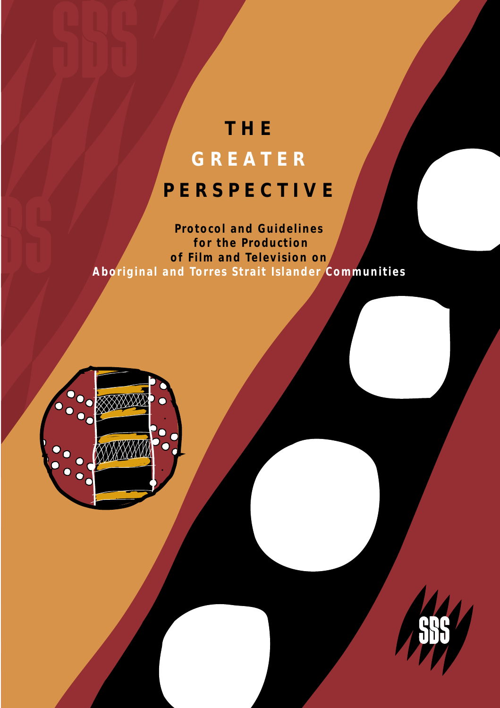# **THE GREATER PERSPECTIVE**

**Protocol and Guidelines for the Production of Film and Television on Aboriginal and Torres Strait Islander Communities**



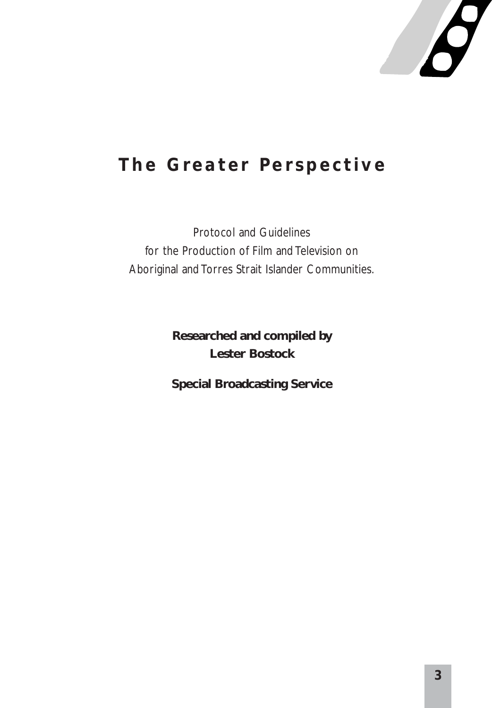

### **The Greater Perspective**

Protocol and Guidelines for the Production of Film and Television on Aboriginal and Torres Strait Islander Communities.

> **Researched and compiled by Lester Bostock**

> **Special Broadcasting Service**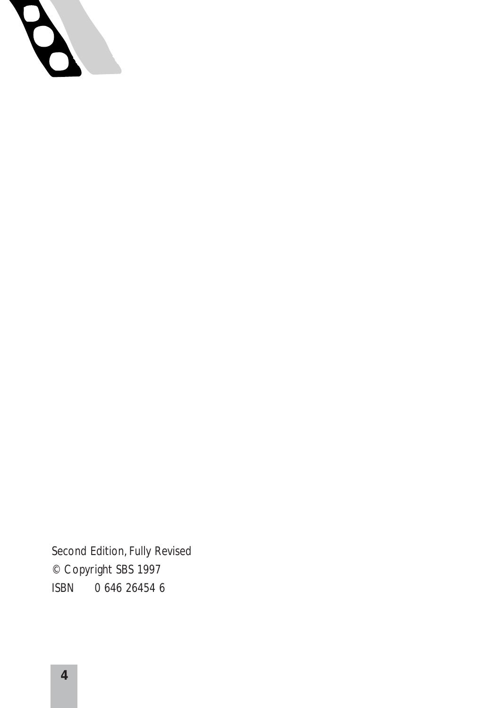

Second Edition, Fully Revised © Copyright SBS 1997 ISBN 0 646 26454 6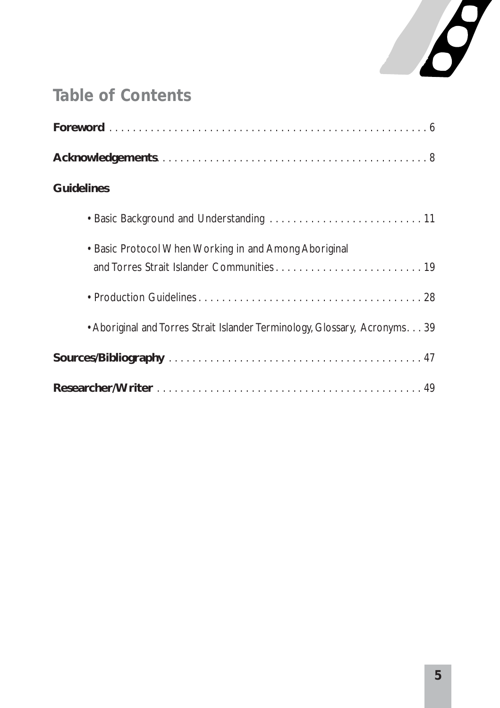

### **Table of Contents**

| <b>Guidelines</b>                                                         |
|---------------------------------------------------------------------------|
|                                                                           |
| • Basic Protocol When Working in and Among Aboriginal                     |
|                                                                           |
| • Aboriginal and Torres Strait Islander Terminology, Glossary, Acronyms39 |
|                                                                           |
|                                                                           |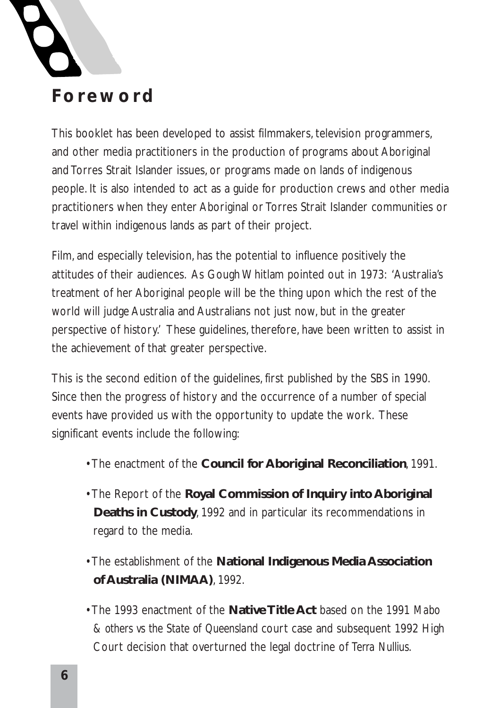

This booklet has been developed to assist filmmakers, television programmers, and other media practitioners in the production of programs about Aboriginal and Torres Strait Islander issues, or programs made on lands of indigenous people. It is also intended to act as a guide for production crews and other media practitioners when they enter Aboriginal or Torres Strait Islander communities or travel within indigenous lands as part of their project.

Film, and especially television, has the potential to influence positively the attitudes of their audiences. As Gough Whitlam pointed out in 1973: 'Australia's treatment of her Aboriginal people will be the thing upon which the rest of the world will judge Australia and Australians not just now, but in the greater perspective of history.' These guidelines, therefore, have been written to assist in the achievement of that greater perspective.

This is the second edition of the guidelines, first published by the SBS in 1990. Since then the progress of history and the occurrence of a number of special events have provided us with the opportunity to update the work. These significant events include the following:

- The enactment of the **Council for Aboriginal Reconciliation**, 1991.
- The Report of the **Royal Commission of Inquiry into Aboriginal Deaths in Custody**, 1992 and in particular its recommendations in regard to the media.
- The establishment of the **National Indigenous Media Association of Australia (NIMAA)**, 1992.
- The 1993 enactment of the **Native Title Act** based on the 1991 *Mabo & others vs the State of Queensland* court case and subsequent 1992 High Court decision that overturned the legal doctrine of *Terra Nullius*.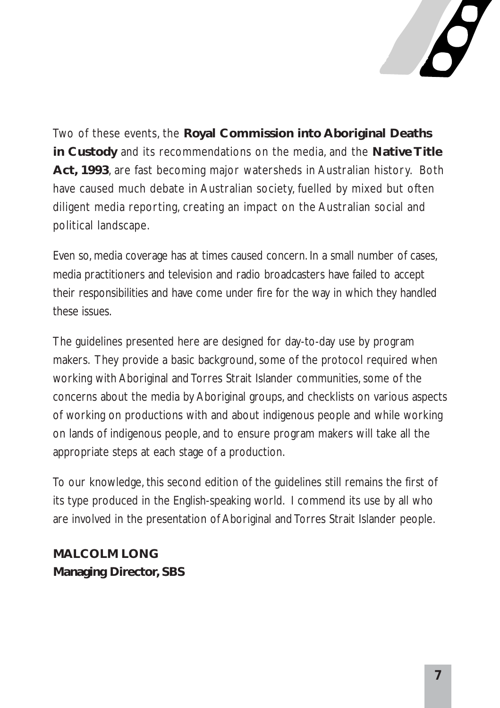

Two of these events, the **Royal Commission into Aboriginal Deaths in Custody** and its recommendations on the media, and the **Native Title Act, 1993**, are fast becoming major watersheds in Australian history. Both have caused much debate in Australian society, fuelled by mixed but often diligent media reporting, creating an impact on the Australian social and political landscape.

Even so, media coverage has at times caused concern. In a small number of cases, media practitioners and television and radio broadcasters have failed to accept their responsibilities and have come under fire for the way in which they handled these issues.

The guidelines presented here are designed for day-to-day use by program makers. They provide a basic background, some of the protocol required when working with Aboriginal and Torres Strait Islander communities, some of the concerns about the media by Aboriginal groups, and checklists on various aspects of working on productions with and about indigenous people and while working on lands of indigenous people, and to ensure program makers will take all the appropriate steps at each stage of a production.

To our knowledge, this second edition of the guidelines still remains the first of its type produced in the English-speaking world. I commend its use by all who are involved in the presentation of Aboriginal and Torres Strait Islander people.

### **MALCOLM LONG Managing Director, SBS**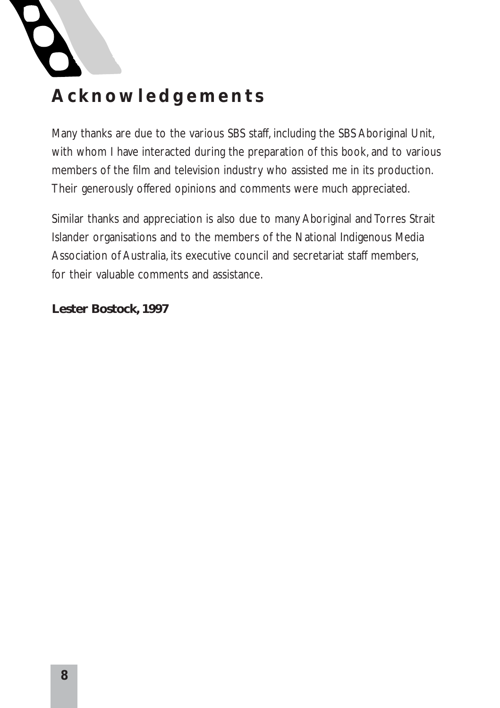

### **Acknowledgements**

Many thanks are due to the various SBS staff, including the SBS Aboriginal Unit, with whom I have interacted during the preparation of this book, and to various members of the film and television industry who assisted me in its production. Their generously offered opinions and comments were much appreciated.

Similar thanks and appreciation is also due to many Aboriginal and Torres Strait Islander organisations and to the members of the National Indigenous Media Association of Australia, its executive council and secretariat staff members, for their valuable comments and assistance.

#### **Lester Bostock, 1997**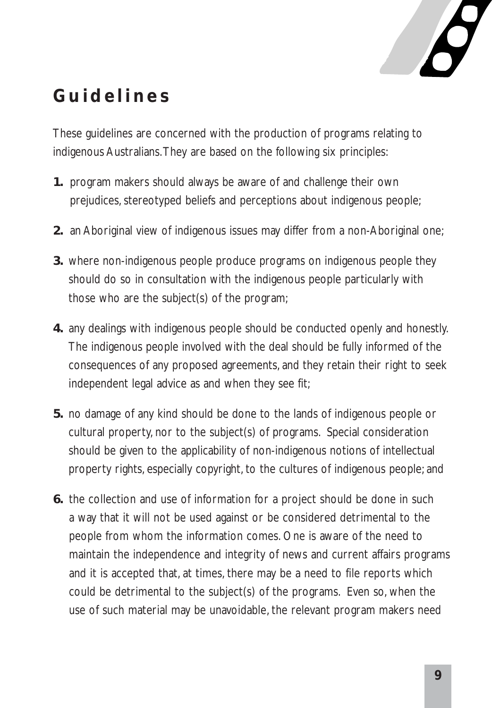

### **Guidelines**

These guidelines are concerned with the production of programs relating to indigenous Australians.They are based on the following six principles:

- **1.** program makers should always be aware of and challenge their own prejudices, stereotyped beliefs and perceptions about indigenous people;
- **2.** an Aboriginal view of indigenous issues may differ from a non-Aboriginal one;
- **3.** where non-indigenous people produce programs on indigenous people they should do so in consultation with the indigenous people particularly with those who are the subject(s) of the program;
- **4.** any dealings with indigenous people should be conducted openly and honestly. The indigenous people involved with the deal should be fully informed of the consequences of any proposed agreements, and they retain their right to seek independent legal advice as and when they see fit;
- **5.** no damage of any kind should be done to the lands of indigenous people or cultural property, nor to the subject(s) of programs. Special consideration should be given to the applicability of non-indigenous notions of intellectual property rights, especially copyright, to the cultures of indigenous people; and
- **6.** the collection and use of information for a project should be done in such a way that it will not be used against or be considered detrimental to the people from whom the information comes. One is aware of the need to maintain the independence and integrity of news and current affairs programs and it is accepted that, at times, there may be a need to file reports which could be detrimental to the subject(s) of the programs. Even so, when the use of such material may be unavoidable, the relevant program makers need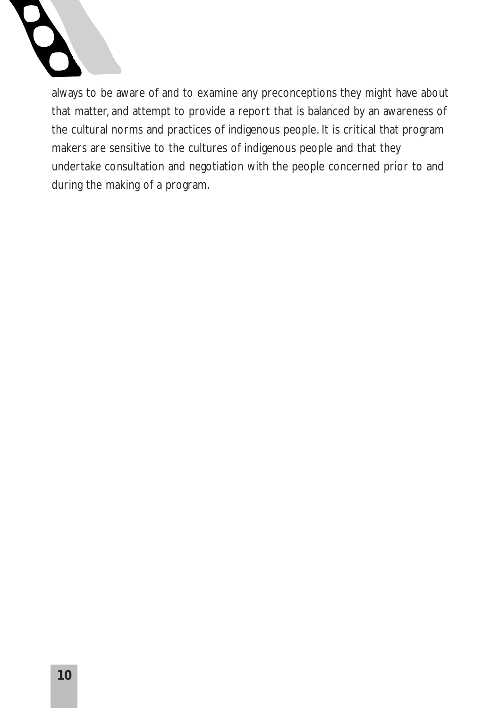

always to be aware of and to examine any preconceptions they might have about that matter, and attempt to provide a report that is balanced by an awareness of the cultural norms and practices of indigenous people. It is critical that program makers are sensitive to the cultures of indigenous people and that they undertake consultation and negotiation with the people concerned prior to and during the making of a program.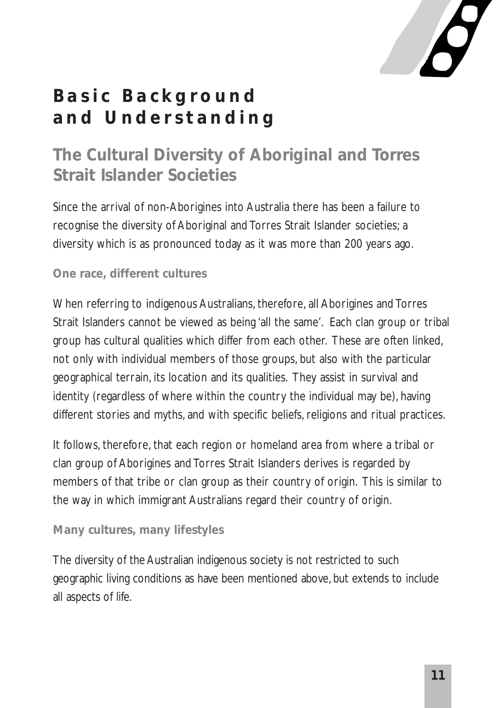

## **Basic Background and Understanding**

### **The Cultural Diversity of Aboriginal and Torres Strait Islander Societies**

Since the arrival of non-Aborigines into Australia there has been a failure to recognise the diversity of Aboriginal and Torres Strait Islander societies; a diversity which is as pronounced today as it was more than 200 years ago.

#### **One race, different cultures**

When referring to indigenous Australians, therefore, all Aborigines and Torres Strait Islanders cannot be viewed as being 'all the same'. Each clan group or tribal group has cultural qualities which differ from each other. These are often linked, not only with individual members of those groups, but also with the particular geographical terrain, its location and its qualities. They assist in survival and identity (regardless of where within the country the individual may be), having different stories and myths, and with specific beliefs, religions and ritual practices.

It follows, therefore, that each region or homeland area from where a tribal or clan group of Aborigines and Torres Strait Islanders derives is regarded by members of that tribe or clan group as their country of origin. This is similar to the way in which immigrant Australians regard their country of origin.

#### **Many cultures, many lifestyles**

The diversity of the Australian indigenous society is not restricted to such geographic living conditions as have been mentioned above, but extends to include all aspects of life.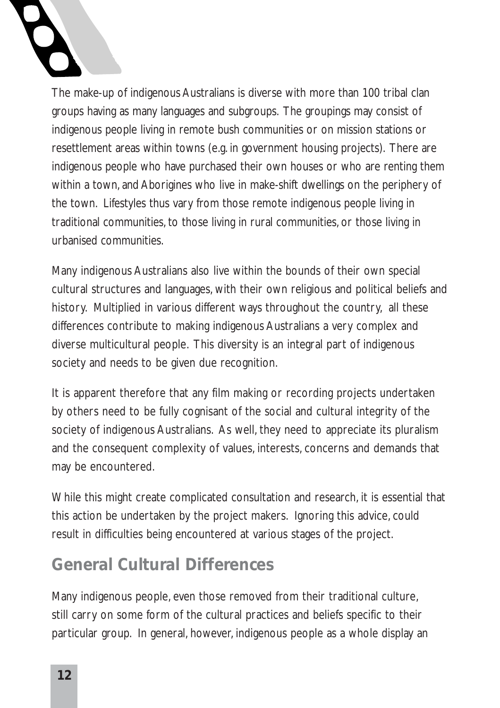The make-up of indigenous Australians is diverse with more than 100 tribal clan groups having as many languages and subgroups. The groupings may consist of indigenous people living in remote bush communities or on mission stations or resettlement areas within towns (e.g. in government housing projects). There are indigenous people who have purchased their own houses or who are renting them within a town, and Aborigines who live in make-shift dwellings on the periphery of the town. Lifestyles thus vary from those remote indigenous people living in traditional communities, to those living in rural communities, or those living in urbanised communities.

Many indigenous Australians also live within the bounds of their own special cultural structures and languages, with their own religious and political beliefs and history. Multiplied in various different ways throughout the country, all these differences contribute to making indigenous Australians a very complex and diverse multicultural people. This diversity is an integral part of indigenous society and needs to be given due recognition.

It is apparent therefore that any film making or recording projects undertaken by others need to be fully cognisant of the social and cultural integrity of the society of indigenous Australians. As well, they need to appreciate its pluralism and the consequent complexity of values, interests, concerns and demands that may be encountered.

While this might create complicated consultation and research, it is essential that this action be undertaken by the project makers. Ignoring this advice, could result in difficulties being encountered at various stages of the project.

### **General Cultural Differences**

Many indigenous people, even those removed from their traditional culture, still carry on some form of the cultural practices and beliefs specific to their particular group. In general, however, indigenous people as a whole display an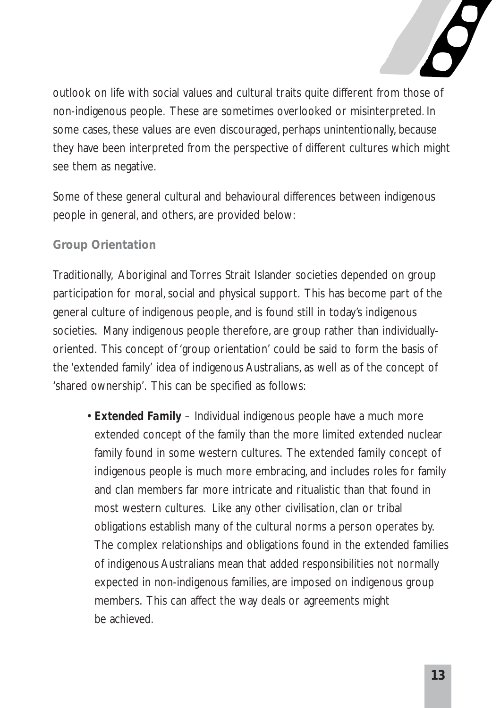

outlook on life with social values and cultural traits quite different from those of non-indigenous people. These are sometimes overlooked or misinterpreted. In some cases, these values are even discouraged, perhaps unintentionally, because they have been interpreted from the perspective of different cultures which might see them as negative.

Some of these general cultural and behavioural differences between indigenous people in general, and others, are provided below:

#### **Group Orientation**

Traditionally, Aboriginal and Torres Strait Islander societies depended on group participation for moral, social and physical support. This has become part of the general culture of indigenous people, and is found still in today's indigenous societies. Many indigenous people therefore, are group rather than individuallyoriented. This concept of 'group orientation' could be said to form the basis of the 'extended family' idea of indigenous Australians, as well as of the concept of 'shared ownership'. This can be specified as follows:

• *Extended Family* – Individual indigenous people have a much more extended concept of the family than the more limited extended nuclear family found in some western cultures. The extended family concept of indigenous people is much more embracing, and includes roles for family and clan members far more intricate and ritualistic than that found in most western cultures. Like any other civilisation, clan or tribal obligations establish many of the cultural norms a person operates by. The complex relationships and obligations found in the extended families of indigenous Australians mean that added responsibilities not normally expected in non-indigenous families, are imposed on indigenous group members. This can affect the way deals or agreements might be achieved.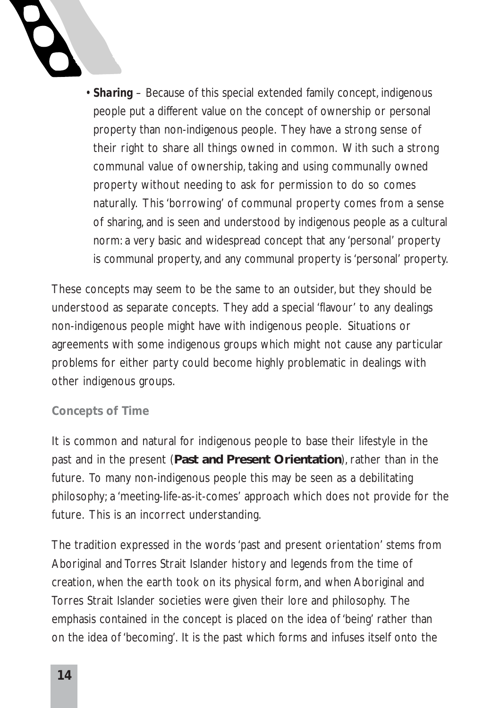

• *Sharing* – Because of this special extended family concept, indigenous people put a different value on the concept of ownership or personal property than non-indigenous people. They have a strong sense of their right to share all things owned in common. With such a strong communal value of ownership, taking and using communally owned property without needing to ask for permission to do so comes naturally. This 'borrowing' of communal property comes from a sense of sharing, and is seen and understood by indigenous people as a cultural norm: a very basic and widespread concept that any 'personal' property is communal property, and any communal property is 'personal' property.

These concepts may seem to be the same to an outsider, but they should be understood as separate concepts. They add a special 'flavour' to any dealings non-indigenous people might have with indigenous people. Situations or agreements with some indigenous groups which might not cause any particular problems for either party could become highly problematic in dealings with other indigenous groups.

#### **Concepts of Time**

It is common and natural for indigenous people to base their lifestyle in the past and in the present (**Past and Present Orientation**), rather than in the future. To many non-indigenous people this may be seen as a debilitating philosophy; a 'meeting-life-as-it-comes' approach which does not provide for the future. This is an incorrect understanding.

The tradition expressed in the words 'past and present orientation' stems from Aboriginal and Torres Strait Islander history and legends from the time of creation, when the earth took on its physical form, and when Aboriginal and Torres Strait Islander societies were given their lore and philosophy. The emphasis contained in the concept is placed on the idea of 'being' rather than on the idea of 'becoming'. It is the past which forms and infuses itself onto the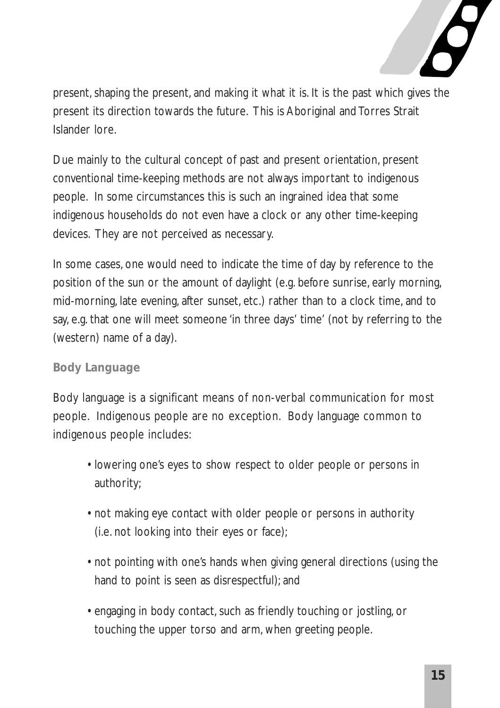

present, shaping the present, and making it what it is. It is the past which gives the present its direction towards the future. This is Aboriginal and Torres Strait Islander lore.

Due mainly to the cultural concept of past and present orientation, present conventional time-keeping methods are not always important to indigenous people. In some circumstances this is such an ingrained idea that some indigenous households do not even have a clock or any other time-keeping devices. They are not perceived as necessary.

In some cases, one would need to indicate the time of day by reference to the position of the sun or the amount of daylight (e.g. before sunrise, early morning, mid-morning, late evening, after sunset, etc.) rather than to a clock time, and to say, e.g. that one will meet someone 'in three days' time' (not by referring to the (western) name of a day).

#### **Body Language**

Body language is a significant means of non-verbal communication for most people. Indigenous people are no exception. Body language common to indigenous people includes:

- lowering one's eyes to show respect to older people or persons in authority;
- not making eye contact with older people or persons in authority (i.e. not looking into their eyes or face);
- not pointing with one's hands when giving general directions (using the hand to point is seen as disrespectful); and
- engaging in body contact, such as friendly touching or jostling, or touching the upper torso and arm, when greeting people.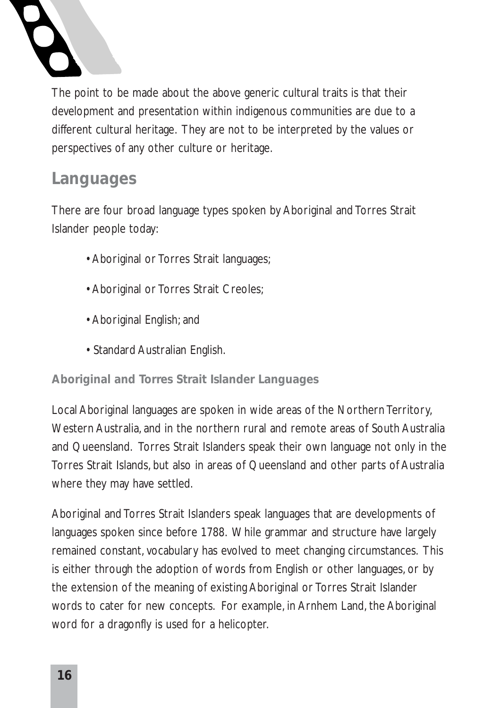

The point to be made about the above generic cultural traits is that their development and presentation within indigenous communities are due to a different cultural heritage. They are not to be interpreted by the values or perspectives of any other culture or heritage.

### **Languages**

There are four broad language types spoken by Aboriginal and Torres Strait Islander people today:

- Aboriginal or Torres Strait languages;
- Aboriginal or Torres Strait Creoles;
- Aboriginal English; and
- Standard Australian English.

#### **Aboriginal and Torres Strait Islander Languages**

Local Aboriginal languages are spoken in wide areas of the Northern Territory, Western Australia, and in the northern rural and remote areas of South Australia and Queensland. Torres Strait Islanders speak their own language not only in the Torres Strait Islands, but also in areas of Queensland and other parts of Australia where they may have settled.

Aboriginal and Torres Strait Islanders speak languages that are developments of languages spoken since before 1788. While grammar and structure have largely remained constant, vocabulary has evolved to meet changing circumstances. This is either through the adoption of words from English or other languages, or by the extension of the meaning of existing Aboriginal or Torres Strait Islander words to cater for new concepts. For example, in Arnhem Land, the Aboriginal word for a dragonfly is used for a helicopter.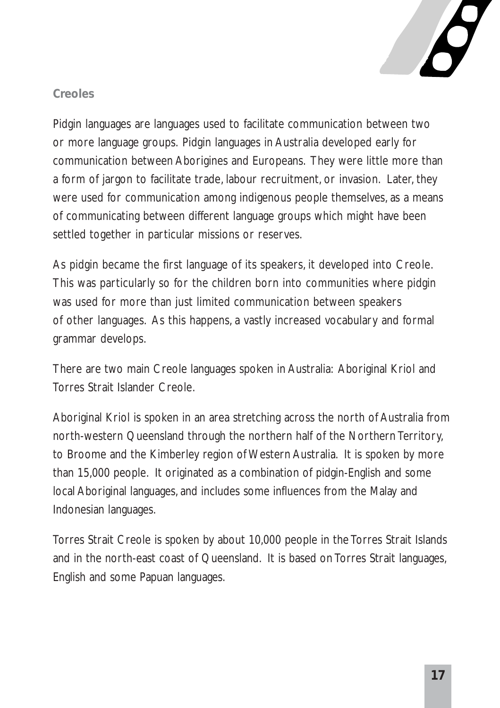

#### **Creoles**

Pidgin languages are languages used to facilitate communication between two or more language groups. Pidgin languages in Australia developed early for communication between Aborigines and Europeans. They were little more than a form of jargon to facilitate trade, labour recruitment, or invasion. Later, they were used for communication among indigenous people themselves, as a means of communicating between different language groups which might have been settled together in particular missions or reserves.

As pidgin became the first language of its speakers, it developed into Creole. This was particularly so for the children born into communities where pidgin was used for more than just limited communication between speakers of other languages. As this happens, a vastly increased vocabulary and formal grammar develops.

There are two main Creole languages spoken in Australia: Aboriginal Kriol and Torres Strait Islander Creole.

Aboriginal Kriol is spoken in an area stretching across the north of Australia from north-western Queensland through the northern half of the Northern Territory, to Broome and the Kimberley region of Western Australia. It is spoken by more than 15,000 people. It originated as a combination of pidgin-English and some local Aboriginal languages, and includes some influences from the Malay and Indonesian languages.

Torres Strait Creole is spoken by about 10,000 people in the Torres Strait Islands and in the north-east coast of Queensland. It is based on Torres Strait languages, English and some Papuan languages.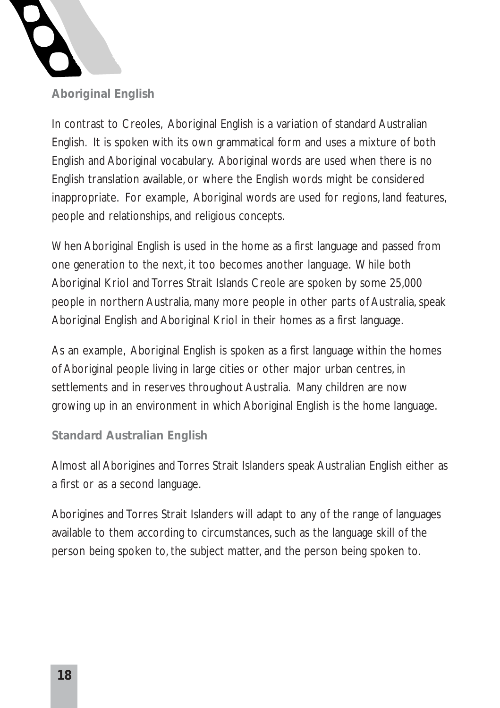

**Aboriginal English**

In contrast to Creoles, Aboriginal English is a variation of standard Australian English. It is spoken with its own grammatical form and uses a mixture of both English and Aboriginal vocabulary. Aboriginal words are used when there is no English translation available, or where the English words might be considered inappropriate. For example, Aboriginal words are used for regions, land features, people and relationships, and religious concepts.

When Aboriginal English is used in the home as a first language and passed from one generation to the next, it too becomes another language. While both Aboriginal Kriol and Torres Strait Islands Creole are spoken by some 25,000 people in northern Australia, many more people in other parts of Australia, speak Aboriginal English and Aboriginal Kriol in their homes as a first language.

As an example, Aboriginal English is spoken as a first language within the homes of Aboriginal people living in large cities or other major urban centres, in settlements and in reserves throughout Australia. Many children are now growing up in an environment in which Aboriginal English is the home language.

#### **Standard Australian English**

Almost all Aborigines and Torres Strait Islanders speak Australian English either as a first or as a second language.

Aborigines and Torres Strait Islanders will adapt to any of the range of languages available to them according to circumstances, such as the language skill of the person being spoken to, the subject matter, and the person being spoken to.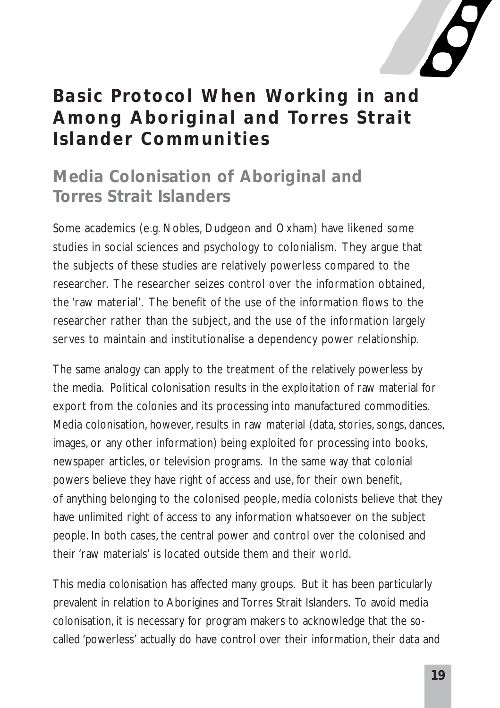

### **Basic Protocol When Working in and Among Aboriginal and Torres Strait Islander Communities**

### **Media Colonisation of Aboriginal and Torres Strait Islanders**

Some academics (e.g. Nobles, Dudgeon and Oxham) have likened some studies in social sciences and psychology to colonialism. They argue that the subjects of these studies are relatively powerless compared to the researcher. The researcher seizes control over the information obtained, the 'raw material'. The benefit of the use of the information flows to the researcher rather than the subject, and the use of the information largely serves to maintain and institutionalise a dependency power relationship.

The same analogy can apply to the treatment of the relatively powerless by the media. Political colonisation results in the exploitation of raw material for export from the colonies and its processing into manufactured commodities. Media colonisation, however, results in raw material (data, stories, songs, dances, images, or any other information) being exploited for processing into books, newspaper articles, or television programs. In the same way that colonial powers believe they have right of access and use, for their own benefit, of anything belonging to the colonised people, media colonists believe that they have unlimited right of access to any information whatsoever on the subject people. In both cases, the central power and control over the colonised and their 'raw materials' is located outside them and their world.

This media colonisation has affected many groups. But it has been particularly prevalent in relation to Aborigines and Torres Strait Islanders. To avoid media colonisation, it is necessary for program makers to acknowledge that the socalled 'powerless' actually do have control over their information, their data and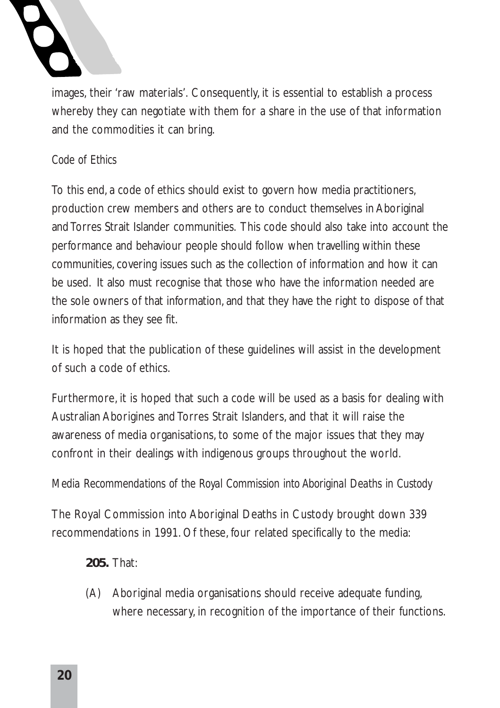images, their 'raw materials'. Consequently, it is essential to establish a process whereby they can negotiate with them for a share in the use of that information and the commodities it can bring.

#### *Code of Ethics*

To this end, a code of ethics should exist to govern how media practitioners, production crew members and others are to conduct themselves in Aboriginal and Torres Strait Islander communities. This code should also take into account the performance and behaviour people should follow when travelling within these communities, covering issues such as the collection of information and how it can be used. It also must recognise that those who have the information needed are the sole owners of that information, and that they have the right to dispose of that information as they see fit.

It is hoped that the publication of these guidelines will assist in the development of such a code of ethics.

Furthermore, it is hoped that such a code will be used as a basis for dealing with Australian Aborigines and Torres Strait Islanders, and that it will raise the awareness of media organisations, to some of the major issues that they may confront in their dealings with indigenous groups throughout the world.

#### *Media Recommendations of the Royal Commission into Aboriginal Deaths in Custody*

The Royal Commission into Aboriginal Deaths in Custody brought down 339 recommendations in 1991. Of these, four related specifically to the media:

**205.** That:

(A) Aboriginal media organisations should receive adequate funding, where necessary, in recognition of the importance of their functions.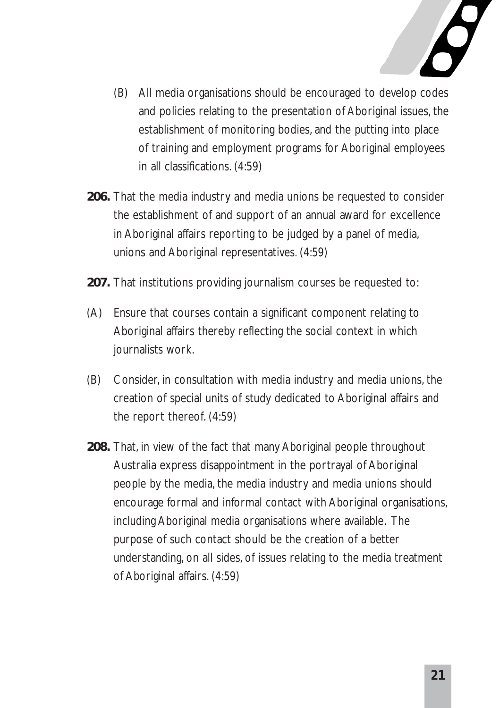

- (B) All media organisations should be encouraged to develop codes and policies relating to the presentation of Aboriginal issues, the establishment of monitoring bodies, and the putting into place of training and employment programs for Aboriginal employees in all classifications. (4:59)
- **206.** That the media industry and media unions be requested to consider the establishment of and support of an annual award for excellence in Aboriginal affairs reporting to be judged by a panel of media, unions and Aboriginal representatives. (4:59)
- **207.** That institutions providing journalism courses be requested to:
- (A) Ensure that courses contain a significant component relating to Aboriginal affairs thereby reflecting the social context in which journalists work.
- (B) Consider, in consultation with media industry and media unions, the creation of special units of study dedicated to Aboriginal affairs and the report thereof. (4:59)
- **208.** That, in view of the fact that many Aboriginal people throughout Australia express disappointment in the portrayal of Aboriginal people by the media, the media industry and media unions should encourage formal and informal contact with Aboriginal organisations, including Aboriginal media organisations where available. The purpose of such contact should be the creation of a better understanding, on all sides, of issues relating to the media treatment of Aboriginal affairs. (4:59)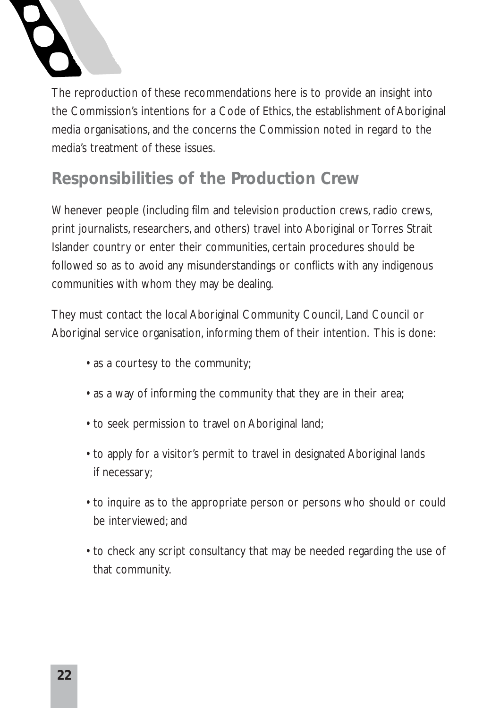

The reproduction of these recommendations here is to provide an insight into the Commission's intentions for a Code of Ethics, the establishment of Aboriginal media organisations, and the concerns the Commission noted in regard to the media's treatment of these issues.

### **Responsibilities of the Production Crew**

Whenever people (including film and television production crews, radio crews, print journalists, researchers, and others) travel into Aboriginal or Torres Strait Islander country or enter their communities, certain procedures should be followed so as to avoid any misunderstandings or conflicts with any indigenous communities with whom they may be dealing.

They must contact the local Aboriginal Community Council, Land Council or Aboriginal service organisation, informing them of their intention. This is done:

- as a courtesy to the community;
- as a way of informing the community that they are in their area;
- to seek permission to travel on Aboriginal land;
- to apply for a visitor's permit to travel in designated Aboriginal lands if necessary;
- to inquire as to the appropriate person or persons who should or could be interviewed; and
- to check any script consultancy that may be needed regarding the use of that community.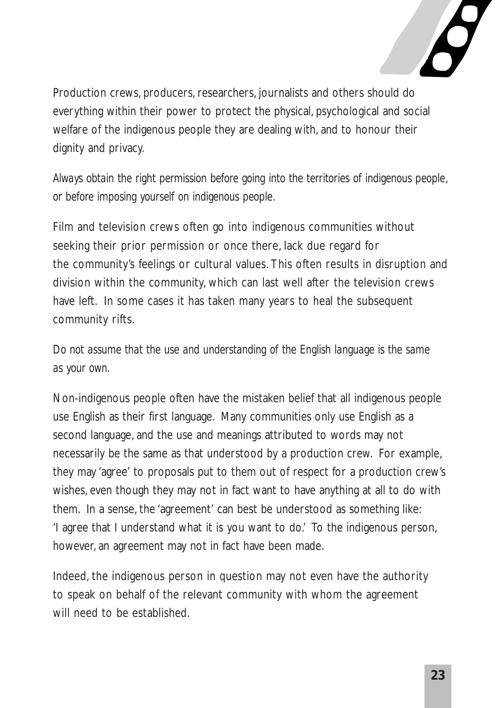

Production crews, producers, researchers, journalists and others should do everything within their power to protect the physical, psychological and social welfare of the indigenous people they are dealing with, and to honour their dignity and privacy.

*Always obtain the right permission before going into the territories of indigenous people, or before imposing yourself on indigenous people.*

Film and television crews often go into indigenous communities without seeking their prior permission or once there, lack due regard for the community's feelings or cultural values. This often results in disruption and division within the community, which can last well after the television crews have left. In some cases it has taken many years to heal the subsequent community rifts.

*Do not assume that the use and understanding of the English language is the same as your own.*

Non-indigenous people often have the mistaken belief that all indigenous people use English as their first language. Many communities only use English as a second language, and the use and meanings attributed to words may not necessarily be the same as that understood by a production crew. For example, they may 'agree' to proposals put to them out of respect for a production crew's wishes, even though they may not in fact want to have anything at all to do with them. In a sense, the 'agreement' can best be understood as something like: 'I agree that I understand what it is you want to do.' To the indigenous person, however, an agreement may not in fact have been made.

Indeed, the indigenous person in question may not even have the authority to speak on behalf of the relevant community with whom the agreement will need to be established.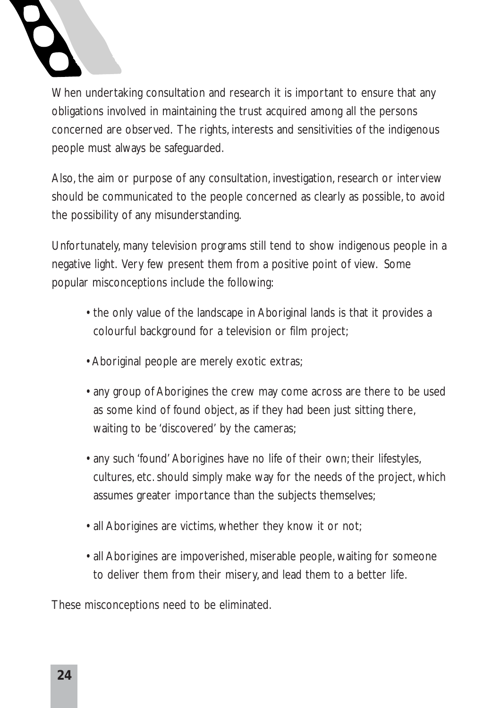

When undertaking consultation and research it is important to ensure that any obligations involved in maintaining the trust acquired among all the persons concerned are observed. The rights, interests and sensitivities of the indigenous people must always be safeguarded.

Also, the aim or purpose of any consultation, investigation, research or interview should be communicated to the people concerned as clearly as possible, to avoid the possibility of any misunderstanding.

Unfortunately, many television programs still tend to show indigenous people in a negative light. Very few present them from a positive point of view. Some popular misconceptions include the following:

- the only value of the landscape in Aboriginal lands is that it provides a colourful background for a television or film project;
- Aboriginal people are merely exotic extras;
- any group of Aborigines the crew may come across are there to be used as some kind of found object, as if they had been just sitting there, waiting to be 'discovered' by the cameras;
- any such 'found' Aborigines have no life of their own; their lifestyles, cultures, etc. should simply make way for the needs of the project, which assumes greater importance than the subjects themselves;
- all Aborigines are victims, whether they know it or not;
- all Aborigines are impoverished, miserable people, waiting for someone to deliver them from their misery, and lead them to a better life.

These misconceptions need to be eliminated.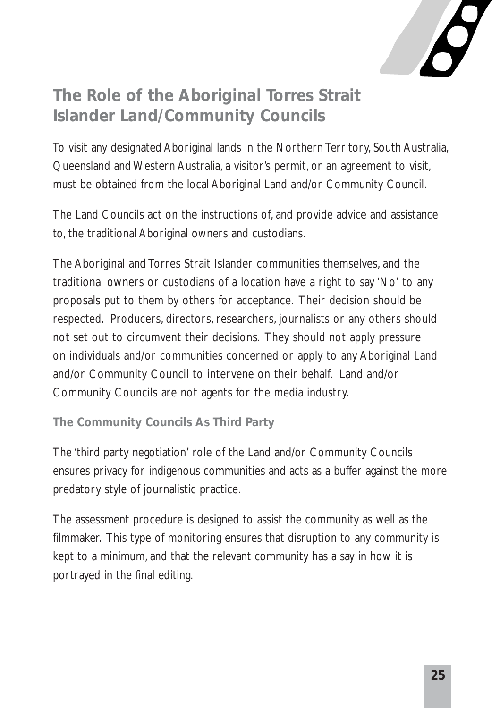

### **The Role of the Aboriginal Torres Strait Islander Land/Community Councils**

To visit any designated Aboriginal lands in the Northern Territory, South Australia, Queensland and Western Australia, a visitor's permit, or an agreement to visit, must be obtained from the local Aboriginal Land and/or Community Council.

The Land Councils act on the instructions of, and provide advice and assistance to, the traditional Aboriginal owners and custodians.

The Aboriginal and Torres Strait Islander communities themselves, and the traditional owners or custodians of a location have a right to say 'No' to any proposals put to them by others for acceptance. Their decision should be respected. Producers, directors, researchers, journalists or any others should not set out to circumvent their decisions. They should not apply pressure on individuals and/or communities concerned or apply to any Aboriginal Land and/or Community Council to intervene on their behalf. Land and/or Community Councils are not agents for the media industry.

**The Community Councils As Third Party**

The 'third party negotiation' role of the Land and/or Community Councils ensures privacy for indigenous communities and acts as a buffer against the more predatory style of journalistic practice.

The assessment procedure is designed to assist the community as well as the filmmaker. This type of monitoring ensures that disruption to any community is kept to a minimum, and that the relevant community has a say in how it is portrayed in the final editing.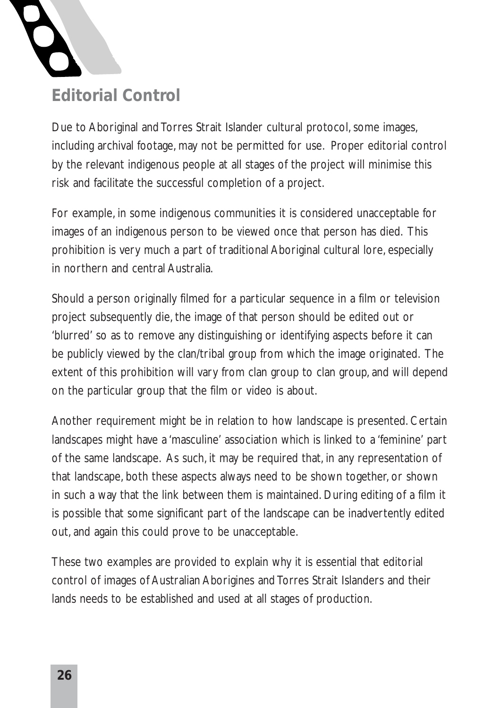

Due to Aboriginal and Torres Strait Islander cultural protocol, some images, including archival footage, may not be permitted for use. Proper editorial control by the relevant indigenous people at all stages of the project will minimise this

risk and facilitate the successful completion of a project.

For example, in some indigenous communities it is considered unacceptable for images of an indigenous person to be viewed once that person has died. This prohibition is very much a part of traditional Aboriginal cultural lore, especially in northern and central Australia.

Should a person originally filmed for a particular sequence in a film or television project subsequently die, the image of that person should be edited out or 'blurred' so as to remove any distinguishing or identifying aspects before it can be publicly viewed by the clan/tribal group from which the image originated. The extent of this prohibition will vary from clan group to clan group, and will depend on the particular group that the film or video is about.

Another requirement might be in relation to how landscape is presented. Certain landscapes might have a 'masculine' association which is linked to a 'feminine' part of the same landscape. As such, it may be required that, in any representation of that landscape, both these aspects always need to be shown together, or shown in such a way that the link between them is maintained. During editing of a film it is possible that some significant part of the landscape can be inadvertently edited out, and again this could prove to be unacceptable.

These two examples are provided to explain why it is essential that editorial control of images of Australian Aborigines and Torres Strait Islanders and their lands needs to be established and used at all stages of production.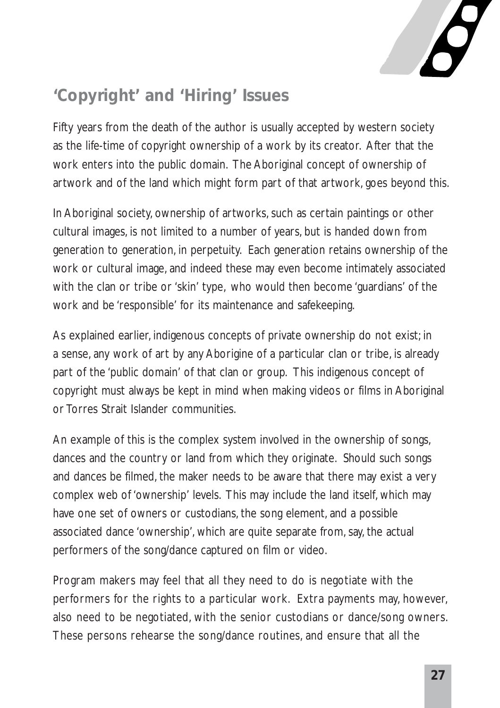

### **'Copyright' and 'Hiring' Issues**

Fifty years from the death of the author is usually accepted by western society as the life-time of copyright ownership of a work by its creator. After that the work enters into the public domain. The Aboriginal concept of ownership of artwork and of the land which might form part of that artwork, goes beyond this.

In Aboriginal society, ownership of artworks, such as certain paintings or other cultural images, is not limited to a number of years, but is handed down from generation to generation, in perpetuity. Each generation retains ownership of the work or cultural image, and indeed these may even become intimately associated with the clan or tribe or 'skin' type, who would then become 'guardians' of the work and be 'responsible' for its maintenance and safekeeping.

As explained earlier, indigenous concepts of private ownership do not exist; in a sense, any work of art by any Aborigine of a particular clan or tribe, is already part of the 'public domain' of that clan or group. This indigenous concept of copyright must always be kept in mind when making videos or films in Aboriginal or Torres Strait Islander communities.

An example of this is the complex system involved in the ownership of songs, dances and the country or land from which they originate. Should such songs and dances be filmed, the maker needs to be aware that there may exist a very complex web of 'ownership' levels. This may include the land itself, which may have one set of owners or custodians, the song element, and a possible associated dance 'ownership', which are quite separate from, say, the actual performers of the song/dance captured on film or video.

Program makers may feel that all they need to do is negotiate with the performers for the rights to a particular work. Extra payments may, however, also need to be negotiated, with the senior custodians or dance/song owners. These persons rehearse the song/dance routines, and ensure that all the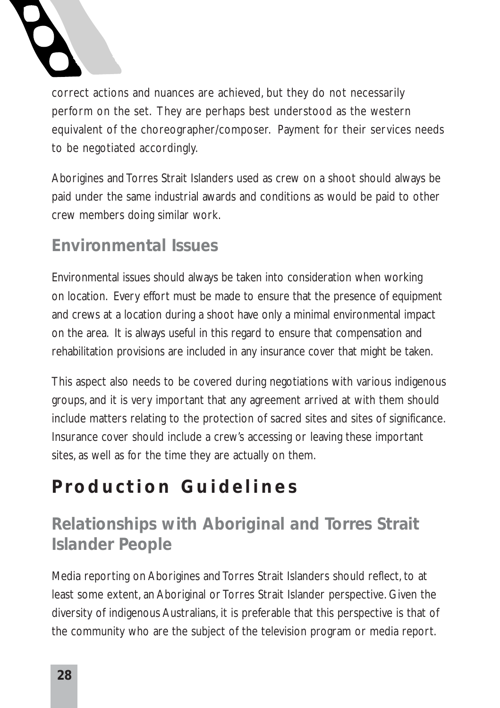

correct actions and nuances are achieved, but they do not necessarily perform on the set. They are perhaps best understood as the western equivalent of the choreographer/composer. Payment for their services needs to be negotiated accordingly.

Aborigines and Torres Strait Islanders used as crew on a shoot should always be paid under the same industrial awards and conditions as would be paid to other crew members doing similar work.

### **Environmental Issues**

Environmental issues should always be taken into consideration when working on location. Every effort must be made to ensure that the presence of equipment and crews at a location during a shoot have only a minimal environmental impact on the area. It is always useful in this regard to ensure that compensation and rehabilitation provisions are included in any insurance cover that might be taken.

This aspect also needs to be covered during negotiations with various indigenous groups, and it is very important that any agreement arrived at with them should include matters relating to the protection of sacred sites and sites of significance. Insurance cover should include a crew's accessing or leaving these important sites, as well as for the time they are actually on them.

## **Production Guidelines**

### **Relationships with Aboriginal and Torres Strait Islander People**

Media reporting on Aborigines and Torres Strait Islanders should reflect, to at least some extent, an Aboriginal or Torres Strait Islander perspective. Given the diversity of indigenous Australians, it is preferable that this perspective is that of the community who are the subject of the television program or media report.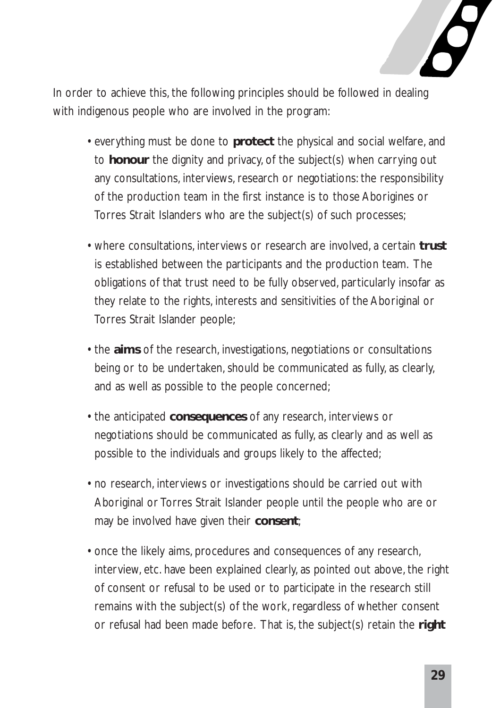

In order to achieve this, the following principles should be followed in dealing with indigenous people who are involved in the program:

- everything must be done to **protect** the physical and social welfare, and to **honour** the dignity and privacy, of the subject(s) when carrying out any consultations, interviews, research or negotiations: the responsibility of the production team in the first instance is to those Aborigines or Torres Strait Islanders who are the subject(s) of such processes;
- where consultations, interviews or research are involved, a certain **trust** is established between the participants and the production team. The obligations of that trust need to be fully observed, particularly insofar as they relate to the rights, interests and sensitivities of the Aboriginal or Torres Strait Islander people;
- the **aims** of the research, investigations, negotiations or consultations being or to be undertaken, should be communicated as fully, as clearly, and as well as possible to the people concerned;
- the anticipated **consequences** of any research, interviews or negotiations should be communicated as fully, as clearly and as well as possible to the individuals and groups likely to the affected;
- no research, interviews or investigations should be carried out with Aboriginal or Torres Strait Islander people until the people who are or may be involved have given their **consent**;
- once the likely aims, procedures and consequences of any research, interview, etc. have been explained clearly, as pointed out above, the right of consent or refusal to be used or to participate in the research still remains with the subject(s) of the work, regardless of whether consent or refusal had been made before. That is, the subject(s) retain the **right**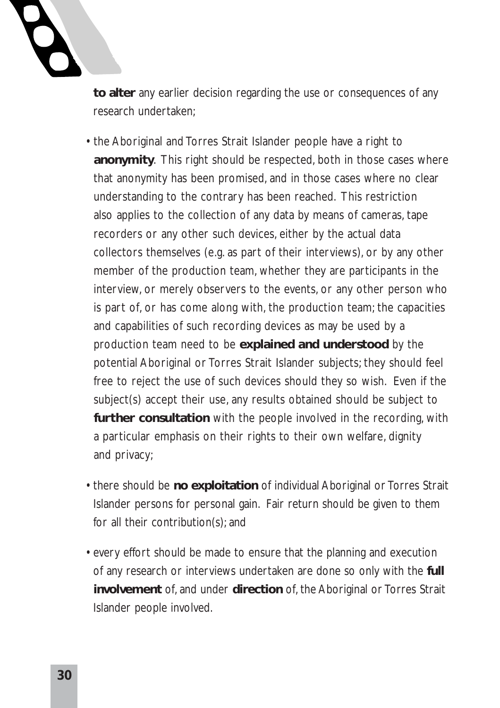

**to alter** any earlier decision regarding the use or consequences of any research undertaken;

- the Aboriginal and Torres Strait Islander people have a right to **anonymity**. This right should be respected, both in those cases where that anonymity has been promised, and in those cases where no clear understanding to the contrary has been reached. This restriction also applies to the collection of any data by means of cameras, tape recorders or any other such devices, either by the actual data collectors themselves (e.g. as part of their interviews), or by any other member of the production team, whether they are participants in the interview, or merely observers to the events, or any other person who is part of, or has come along with, the production team; the capacities and capabilities of such recording devices as may be used by a production team need to be **explained and understood** by the potential Aboriginal or Torres Strait Islander subjects; they should feel free to reject the use of such devices should they so wish. Even if the subject(s) accept their use, any results obtained should be subject to **further consultation** with the people involved in the recording, with a particular emphasis on their rights to their own welfare, dignity and privacy;
- there should be **no exploitation** of individual Aboriginal or Torres Strait Islander persons for personal gain. Fair return should be given to them for all their contribution(s); and
- every effort should be made to ensure that the planning and execution of any research or interviews undertaken are done so only with the **full involvement** of, and under **direction** of, the Aboriginal or Torres Strait Islander people involved.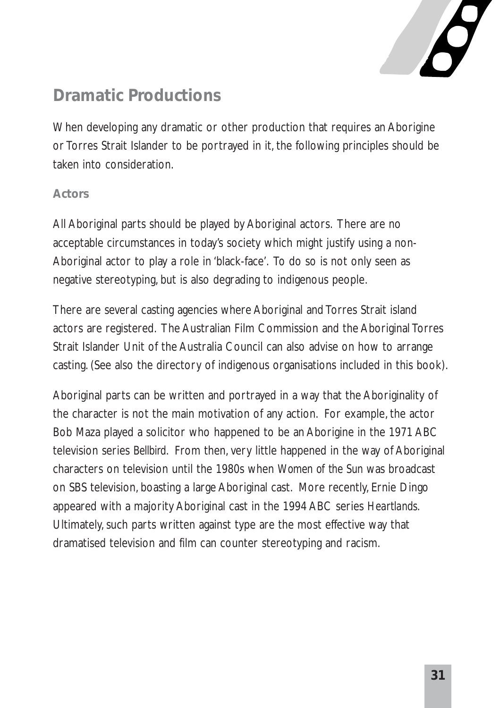

### **Dramatic Productions**

When developing any dramatic or other production that requires an Aborigine or Torres Strait Islander to be portrayed in it, the following principles should be taken into consideration.

#### **Actors**

All Aboriginal parts should be played by Aboriginal actors. There are no acceptable circumstances in today's society which might justify using a non-Aboriginal actor to play a role in 'black-face'. To do so is not only seen as negative stereotyping, but is also degrading to indigenous people.

There are several casting agencies where Aboriginal and Torres Strait island actors are registered. The Australian Film Commission and the Aboriginal Torres Strait Islander Unit of the Australia Council can also advise on how to arrange casting. (See also the directory of indigenous organisations included in this book).

Aboriginal parts can be written and portrayed in a way that the Aboriginality of the character is not the main motivation of any action. For example, the actor Bob Maza played a solicitor who happened to be an Aborigine in the 1971 ABC television series *Bellbird*. From then, very little happened in the way of Aboriginal characters on television until the 1980s when *Women of the Sun* was broadcast on SBS television, boasting a large Aboriginal cast. More recently, Ernie Dingo appeared with a majority Aboriginal cast in the 1994 ABC series *Heartlands*. Ultimately, such parts written against type are the most effective way that dramatised television and film can counter stereotyping and racism.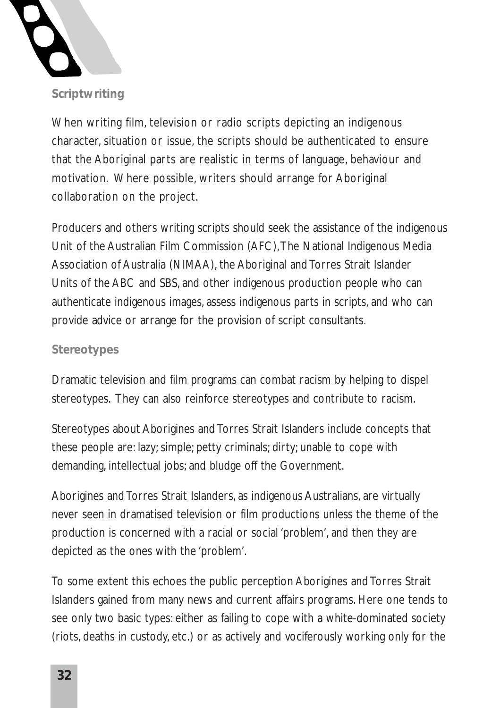

**Scriptwriting**

When writing film, television or radio scripts depicting an indigenous character, situation or issue, the scripts should be authenticated to ensure that the Aboriginal parts are realistic in terms of language, behaviour and motivation. Where possible, writers should arrange for Aboriginal collaboration on the project.

Producers and others writing scripts should seek the assistance of the indigenous Unit of the Australian Film Commission (AFC),The National Indigenous Media Association of Australia (NIMAA), the Aboriginal and Torres Strait Islander Units of the ABC and SBS, and other indigenous production people who can authenticate indigenous images, assess indigenous parts in scripts, and who can provide advice or arrange for the provision of script consultants.

#### **Stereotypes**

Dramatic television and film programs can combat racism by helping to dispel stereotypes. They can also reinforce stereotypes and contribute to racism.

Stereotypes about Aborigines and Torres Strait Islanders include concepts that these people are: lazy; simple; petty criminals; dirty; unable to cope with demanding, intellectual jobs; and bludge off the Government.

Aborigines and Torres Strait Islanders, as indigenous Australians, are virtually never seen in dramatised television or film productions unless the theme of the production is concerned with a racial or social 'problem', and then they are depicted as the ones with the 'problem'.

To some extent this echoes the public perception Aborigines and Torres Strait Islanders gained from many news and current affairs programs. Here one tends to see only two basic types: either as failing to cope with a white-dominated society (riots, deaths in custody, etc.) or as actively and vociferously working only for the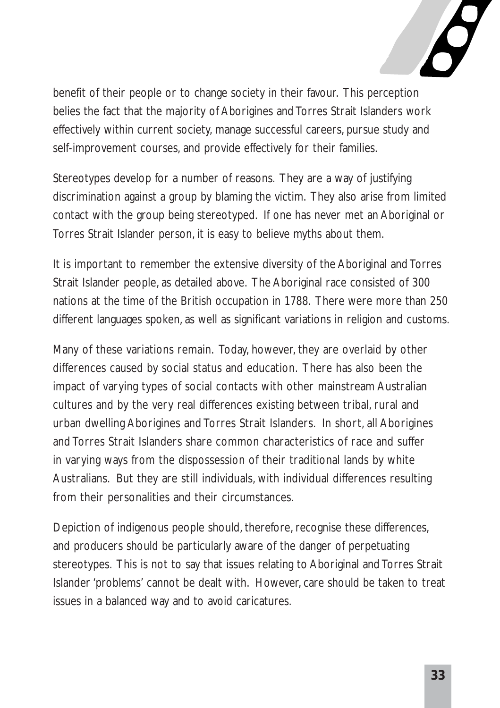

benefit of their people or to change society in their favour. This perception belies the fact that the majority of Aborigines and Torres Strait Islanders work effectively within current society, manage successful careers, pursue study and self-improvement courses, and provide effectively for their families.

Stereotypes develop for a number of reasons. They are a way of justifying discrimination against a group by blaming the victim. They also arise from limited contact with the group being stereotyped. If one has never met an Aboriginal or Torres Strait Islander person, it is easy to believe myths about them.

It is important to remember the extensive diversity of the Aboriginal and Torres Strait Islander people, as detailed above. The Aboriginal race consisted of 300 nations at the time of the British occupation in 1788. There were more than 250 different languages spoken, as well as significant variations in religion and customs.

Many of these variations remain. Today, however, they are overlaid by other differences caused by social status and education. There has also been the impact of varying types of social contacts with other mainstream Australian cultures and by the very real differences existing between tribal, rural and urban dwelling Aborigines and Torres Strait Islanders. In short, all Aborigines and Torres Strait Islanders share common characteristics of race and suffer in varying ways from the dispossession of their traditional lands by white Australians. But they are still individuals, with individual differences resulting from their personalities and their circumstances.

Depiction of indigenous people should, therefore, recognise these differences, and producers should be particularly aware of the danger of perpetuating stereotypes. This is not to say that issues relating to Aboriginal and Torres Strait Islander 'problems' cannot be dealt with. However, care should be taken to treat issues in a balanced way and to avoid caricatures.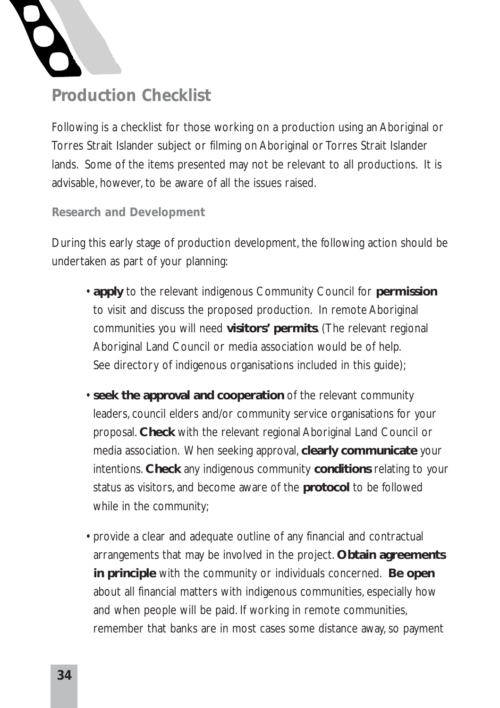

### **Production Checklist**

Following is a checklist for those working on a production using an Aboriginal or Torres Strait Islander subject or filming on Aboriginal or Torres Strait Islander lands. Some of the items presented may not be relevant to all productions. It is advisable, however, to be aware of all the issues raised.

#### **Research and Development**

During this early stage of production development, the following action should be undertaken as part of your planning:

- **apply** to the relevant indigenous Community Council for **permission** to visit and discuss the proposed production. In remote Aboriginal communities you will need **visitors' permits**. (The relevant regional Aboriginal Land Council or media association would be of help. See directory of indigenous organisations included in this guide);
- **seek the approval and cooperation** of the relevant community leaders, council elders and/or community service organisations for your proposal. **Check** with the relevant regional Aboriginal Land Council or media association. When seeking approval, **clearly communicate** your intentions. **Check** any indigenous community **conditions** relating to your status as visitors, and become aware of the **protocol** to be followed while in the community;
- provide a clear and adequate outline of any financial and contractual arrangements that may be involved in the project. **Obtain agreements in principle** with the community or individuals concerned. **Be open** about all financial matters with indigenous communities, especially how and when people will be paid. If working in remote communities, remember that banks are in most cases some distance away, so payment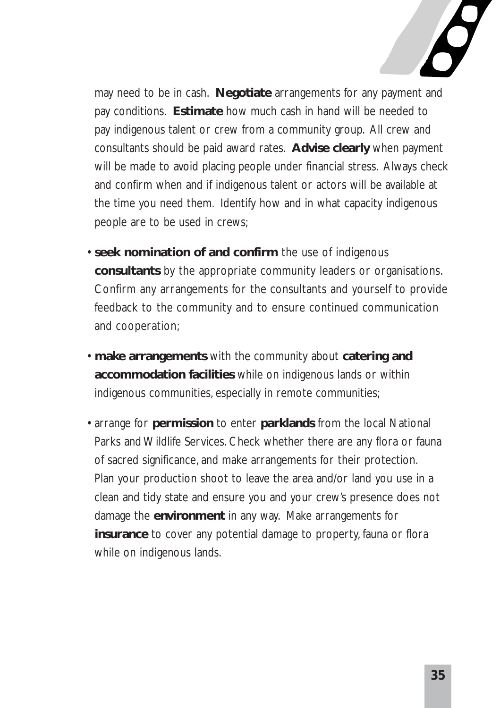

may need to be in cash. **Negotiate** arrangements for any payment and pay conditions. **Estimate** how much cash in hand will be needed to pay indigenous talent or crew from a community group. All crew and consultants should be paid award rates. **Advise clearly** when payment will be made to avoid placing people under financial stress. Always check and confirm when and if indigenous talent or actors will be available at the time you need them. Identify how and in what capacity indigenous people are to be used in crews;

- **seek nomination of and confirm** the use of indigenous **consultants** by the appropriate community leaders or organisations. Confirm any arrangements for the consultants and yourself to provide feedback to the community and to ensure continued communication and cooperation;
- **make arrangements** with the community about **catering and accommodation facilities** while on indigenous lands or within indigenous communities, especially in remote communities;
- arrange for **permission** to enter **parklands** from the local National Parks and Wildlife Services. Check whether there are any flora or fauna of sacred significance, and make arrangements for their protection. Plan your production shoot to leave the area and/or land you use in a clean and tidy state and ensure you and your crew's presence does not damage the **environment** in any way. Make arrangements for **insurance** to cover any potential damage to property, fauna or flora while on indigenous lands.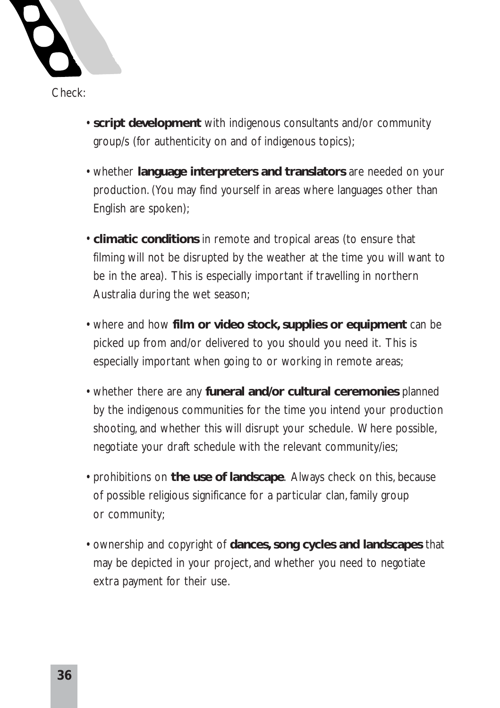

- **script development** with indigenous consultants and/or community group/s (for authenticity on and of indigenous topics);
	- whether **language interpreters and translators** are needed on your production. (You may find yourself in areas where languages other than English are spoken);
	- **climatic conditions** in remote and tropical areas (to ensure that filming will not be disrupted by the weather at the time you will want to be in the area). This is especially important if travelling in northern Australia during the wet season;
	- where and how **film or video stock, supplies or equipment** can be picked up from and/or delivered to you should you need it. This is especially important when going to or working in remote areas;
	- whether there are any **funeral and/or cultural ceremonies** planned by the indigenous communities for the time you intend your production shooting, and whether this will disrupt your schedule. Where possible, negotiate your draft schedule with the relevant community/ies;
	- prohibitions on **the use of landscape**. Always check on this, because of possible religious significance for a particular clan, family group or community;
	- ownership and copyright of **dances, song cycles and landscapes** that may be depicted in your project, and whether you need to negotiate extra payment for their use.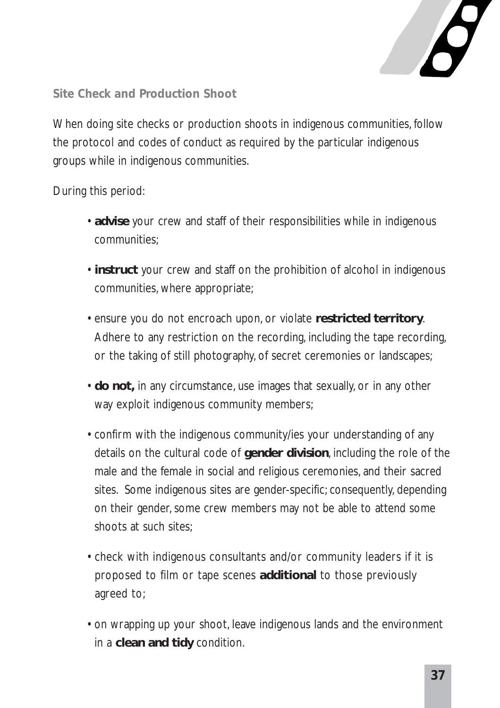

**Site Check and Production Shoot** 

When doing site checks or production shoots in indigenous communities, follow the protocol and codes of conduct as required by the particular indigenous groups while in indigenous communities.

During this period:

- **advise** your crew and staff of their responsibilities while in indigenous communities;
- **instruct** your crew and staff on the prohibition of alcohol in indigenous communities, where appropriate;
- ensure you do not encroach upon, or violate **restricted territory**. Adhere to any restriction on the recording, including the tape recording, or the taking of still photography, of secret ceremonies or landscapes;
- **do not,** in any circumstance, use images that sexually, or in any other way exploit indigenous community members;
- confirm with the indigenous community/ies your understanding of any details on the cultural code of **gender division**, including the role of the male and the female in social and religious ceremonies, and their sacred sites. Some indigenous sites are gender-specific; consequently, depending on their gender, some crew members may not be able to attend some shoots at such sites:
- check with indigenous consultants and/or community leaders if it is proposed to film or tape scenes **additional** to those previously agreed to;
- on wrapping up your shoot, leave indigenous lands and the environment in a **clean and tidy** condition.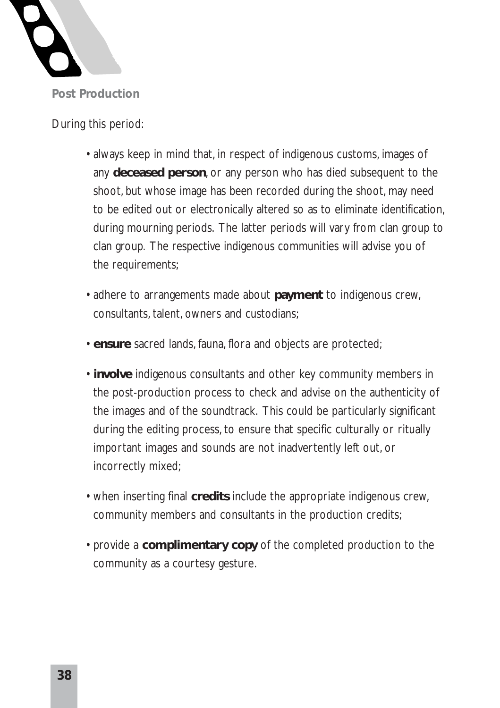

During this period:

- always keep in mind that, in respect of indigenous customs, images of any **deceased person**, or any person who has died subsequent to the shoot, but whose image has been recorded during the shoot, may need to be edited out or electronically altered so as to eliminate identification, during mourning periods. The latter periods will vary from clan group to clan group. The respective indigenous communities will advise you of the requirements;
- adhere to arrangements made about **payment** to indigenous crew, consultants, talent, owners and custodians;
- **ensure** sacred lands, fauna, flora and objects are protected;
- **involve** indigenous consultants and other key community members in the post-production process to check and advise on the authenticity of the images and of the soundtrack. This could be particularly significant during the editing process, to ensure that specific culturally or ritually important images and sounds are not inadvertently left out, or incorrectly mixed;
- when inserting final **credits** include the appropriate indigenous crew, community members and consultants in the production credits;
- provide a **complimentary copy** of the completed production to the community as a courtesy gesture.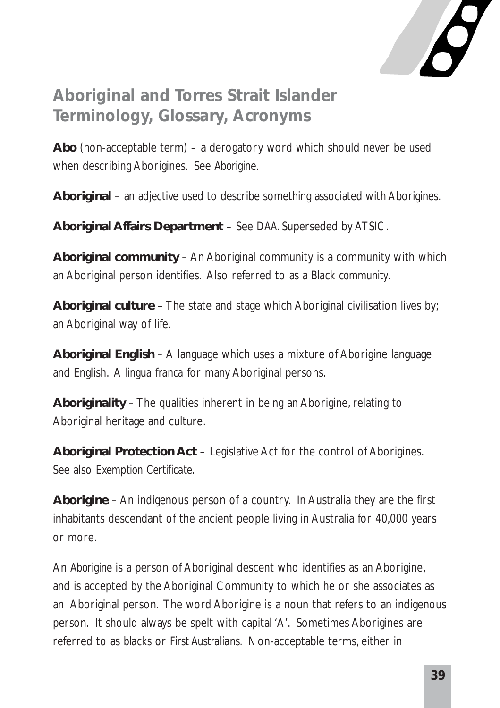

### **Aboriginal and Torres Strait Islander Terminology, Glossary, Acronyms**

**Abo** (non-acceptable term) – a derogatory word which should never be used when describing Aborigines. See *Aborigine*.

**Aboriginal** – an adjective used to describe something associated with Aborigines.

**Aboriginal Affairs Department** – See *DAA*. Superseded by ATSIC.

**Aboriginal community** – An Aboriginal community is a community with which an Aboriginal person identifies. Also referred to as a *Black community*.

**Aboriginal culture** – The state and stage which Aboriginal civilisation lives by; an Aboriginal way of life.

**Aboriginal English** – A language which uses a mixture of Aborigine language and English. A *lingua franca* for many Aboriginal persons.

**Aboriginality** – The qualities inherent in being an Aborigine, relating to Aboriginal heritage and culture.

**Aboriginal Protection Act** – Legislative Act for the control of Aborigines. See also *Exemption Certificate*.

**Aborigine** – An indigenous person of a country. In Australia they are the first inhabitants descendant of the ancient people living in Australia for 40,000 years or more.

An *Aborigine* is a person of Aboriginal descent who identifies as an Aborigine, and is accepted by the Aboriginal Community to which he or she associates as an Aboriginal person. The word Aborigine is a noun that refers to an indigenous person. It should always be spelt with capital 'A'. Sometimes Aborigines are referred to as *blacks* or *First Australians*. Non-acceptable terms, either in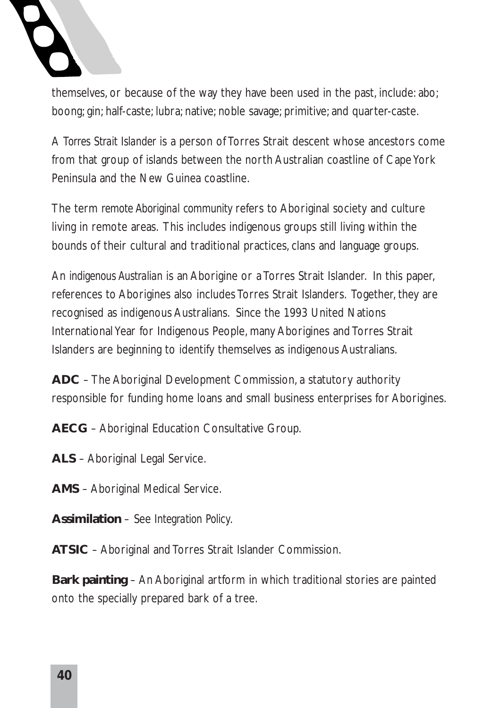

themselves, or because of the way they have been used in the past, include: abo; boong; gin; half-caste; lubra; native; noble savage; primitive; and quarter-caste.

A *Torres Strait Islander* is a person of Torres Strait descent whose ancestors come from that group of islands between the north Australian coastline of Cape York Peninsula and the New Guinea coastline.

The term *remote Aboriginal community* refers to Aboriginal society and culture living in remote areas. This includes indigenous groups still living within the bounds of their cultural and traditional practices, clans and language groups.

An *indigenous Australian* is an Aborigine or a Torres Strait Islander. In this paper, references to Aborigines also includes Torres Strait Islanders. Together, they are recognised as indigenous Australians. Since the 1993 United Nations International Year for Indigenous People, many Aborigines and Torres Strait Islanders are beginning to identify themselves as indigenous Australians.

**ADC** – The Aboriginal Development Commission, a statutory authority responsible for funding home loans and small business enterprises for Aborigines.

**AECG** – Aboriginal Education Consultative Group.

- **ALS** Aboriginal Legal Service.
- **AMS** Aboriginal Medical Service.

**Assimilation** – See *Integration Policy*.

**ATSIC** – Aboriginal and Torres Strait Islander Commission.

**Bark painting** – An Aboriginal artform in which traditional stories are painted onto the specially prepared bark of a tree.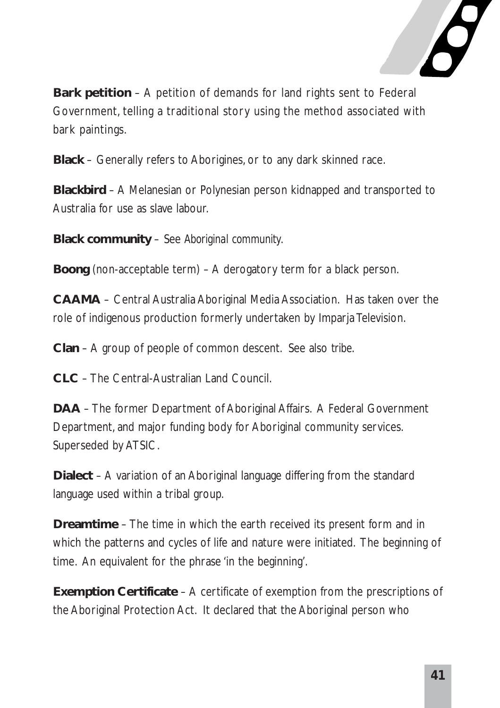

**Bark petition** – A petition of demands for land rights sent to Federal Government, telling a traditional story using the method associated with bark paintings.

**Black** – Generally refers to Aborigines, or to any dark skinned race.

**Blackbird** – A Melanesian or Polynesian person kidnapped and transported to Australia for use as slave labour.

**Black community** – See *Aboriginal community*.

**Boong** (non-acceptable term) – A derogatory term for a black person.

**CAAMA** – Central Australia Aboriginal Media Association. Has taken over the role of indigenous production formerly undertaken by Imparja Television.

**Clan** – A group of people of common descent. See also *tribe*.

**CLC** – The Central-Australian Land Council.

**DAA** – The former Department of Aboriginal Affairs. A Federal Government Department, and major funding body for Aboriginal community services. Superseded by ATSIC.

**Dialect** – A variation of an Aboriginal language differing from the standard language used within a tribal group.

**Dreamtime** – The time in which the earth received its present form and in which the patterns and cycles of life and nature were initiated. The beginning of time. An equivalent for the phrase 'in the beginning'.

**Exemption Certificate** – A certificate of exemption from the prescriptions of the Aboriginal Protection Act. It declared that the Aboriginal person who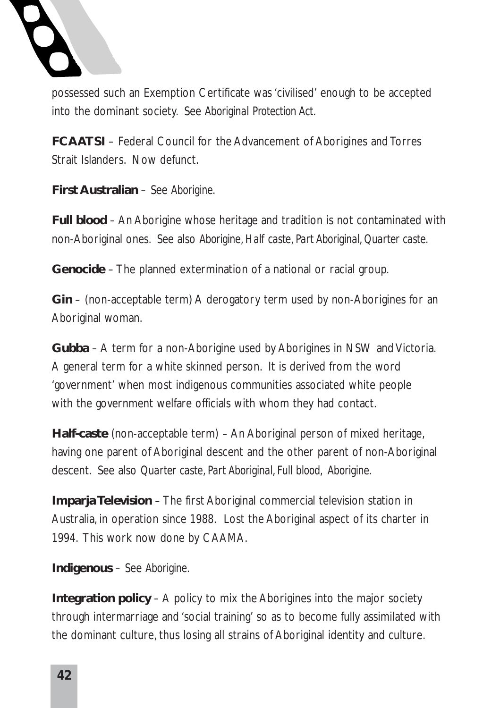

possessed such an Exemption Certificate was 'civilised' enough to be accepted into the dominant society. See *Aboriginal Protection Act*.

**FCAATSI** – Federal Council for the Advancement of Aborigines and Torres Strait Islanders. Now defunct.

**First Australian** – See *Aborigine*.

**Full blood** – An Aborigine whose heritage and tradition is not contaminated with non-Aboriginal ones. See also *Aborigine, Half caste, Part Aboriginal, Quarter caste*.

**Genocide** – The planned extermination of a national or racial group.

**Gin** – (non-acceptable term) A derogatory term used by non-Aborigines for an Aboriginal woman.

**Gubba** – A term for a non-Aborigine used by Aborigines in NSW and Victoria. A general term for a white skinned person. It is derived from the word 'government' when most indigenous communities associated white people with the government welfare officials with whom they had contact.

**Half-caste** (non-acceptable term) – An Aboriginal person of mixed heritage, having one parent of Aboriginal descent and the other parent of non-Aboriginal descent. See also *Quarter caste, Part Aboriginal, Full blood, Aborigine*.

**Imparja Television** – The first Aboriginal commercial television station in Australia, in operation since 1988. Lost the Aboriginal aspect of its charter in 1994. This work now done by CAAMA.

**Indigenous** – See *Aborigine*.

**Integration policy** – A policy to mix the Aborigines into the major society through intermarriage and 'social training' so as to become fully assimilated with the dominant culture, thus losing all strains of Aboriginal identity and culture.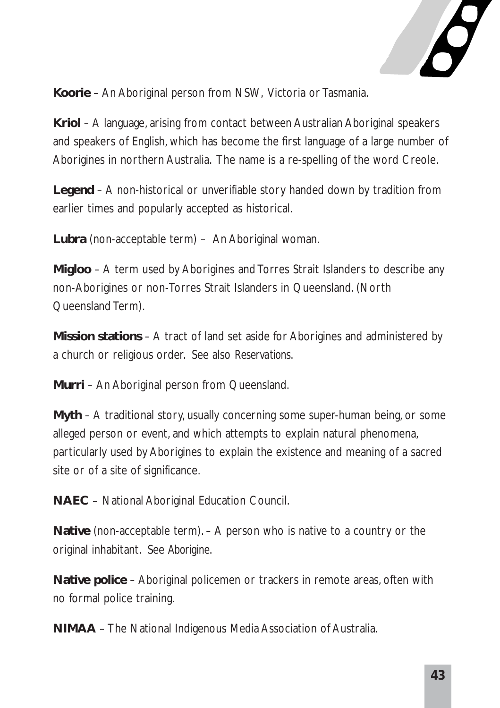

**Koorie** – An Aboriginal person from NSW, Victoria or Tasmania.

**Kriol** – A language, arising from contact between Australian Aboriginal speakers and speakers of English, which has become the first language of a large number of Aborigines in northern Australia. The name is a re-spelling of the word Creole.

**Legend** – A non-historical or unverifiable story handed down by tradition from earlier times and popularly accepted as historical.

**Lubra** (non-acceptable term) – An Aboriginal woman.

**Migloo** – A term used by Aborigines and Torres Strait Islanders to describe any non-Aborigines or non-Torres Strait Islanders in Queensland. (North Queensland Term).

**Mission stations** – A tract of land set aside for Aborigines and administered by a church or religious order. See also *Reservations*.

**Murri** – An Aboriginal person from Queensland.

**Myth** – A traditional story, usually concerning some super-human being, or some alleged person or event, and which attempts to explain natural phenomena, particularly used by Aborigines to explain the existence and meaning of a sacred site or of a site of significance.

**NAEC** – National Aboriginal Education Council.

**Native** (non-acceptable term). – A person who is native to a country or the original inhabitant. See *Aborigine*.

**Native police** – Aboriginal policemen or trackers in remote areas, often with no formal police training.

**NIMAA** – The National Indigenous Media Association of Australia.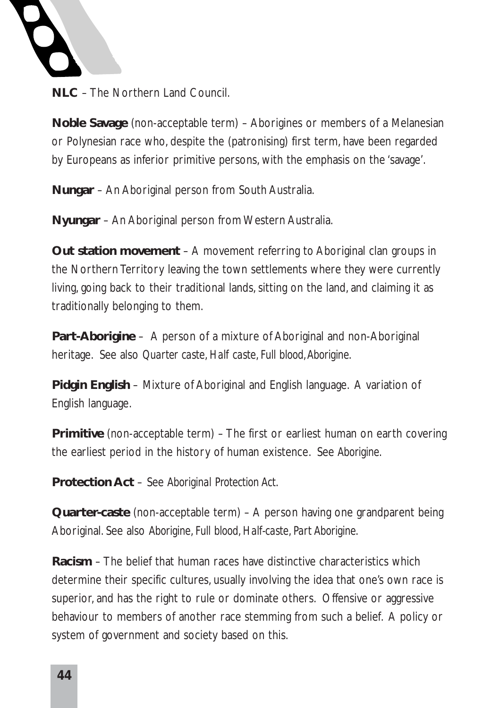

**NLC** – The Northern Land Council.

**Noble Savage** (non-acceptable term) – Aborigines or members of a Melanesian or Polynesian race who, despite the (patronising) first term, have been regarded by Europeans as inferior primitive persons, with the emphasis on the 'savage'.

**Nungar** – An Aboriginal person from South Australia.

**Nyungar** – An Aboriginal person from Western Australia.

**Out station movement** – A movement referring to Aboriginal clan groups in the Northern Territory leaving the town settlements where they were currently living, going back to their traditional lands, sitting on the land, and claiming it as traditionally belonging to them.

**Part-Aborigine** – A person of a mixture of Aboriginal and non-Aboriginal heritage. See also *Quarter caste, Half caste, Full blood,Aborigine*.

**Pidgin English** – Mixture of Aboriginal and English language. A variation of English language.

**Primitive** (non-acceptable term) – The first or earliest human on earth covering the earliest period in the history of human existence. See *Aborigine*.

**Protection Act** – See *Aboriginal Protection Act*.

**Quarter-caste** (non-acceptable term) – A person having one grandparent being Aboriginal. See also *Aborigine, Full blood, Half-caste, Part Aborigine*.

**Racism** – The belief that human races have distinctive characteristics which determine their specific cultures, usually involving the idea that one's own race is superior, and has the right to rule or dominate others. Offensive or aggressive behaviour to members of another race stemming from such a belief. A policy or system of government and society based on this.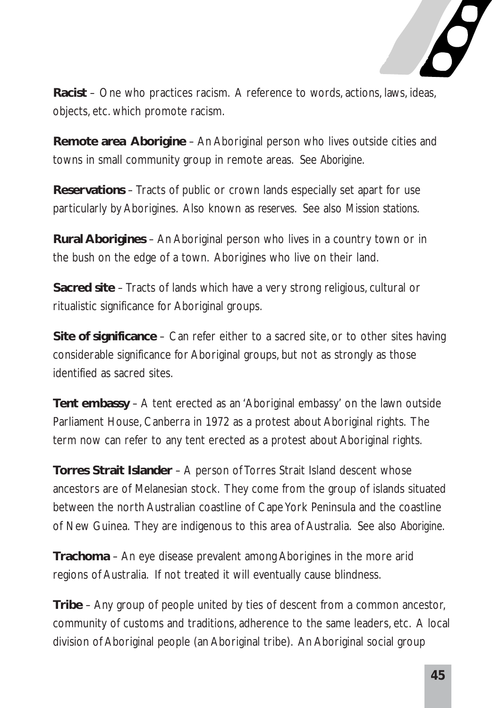

**Racist** – One who practices racism. A reference to words, actions, laws, ideas, objects, etc. which promote racism.

**Remote area Aborigine** – An Aboriginal person who lives outside cities and towns in small community group in remote areas. See *Aborigine*.

**Reservations** – Tracts of public or crown lands especially set apart for use particularly by Aborigines. Also known as *reserves*. See also *Mission stations*.

**Rural Aborigines** – An Aboriginal person who lives in a country town or in the bush on the edge of a town. Aborigines who live on their land.

**Sacred site** – Tracts of lands which have a very strong religious, cultural or ritualistic significance for Aboriginal groups.

**Site of significance** – Can refer either to a sacred site, or to other sites having considerable significance for Aboriginal groups, but not as strongly as those identified as sacred sites.

**Tent embassy** – A tent erected as an 'Aboriginal embassy' on the lawn outside Parliament House, Canberra in 1972 as a protest about Aboriginal rights. The term now can refer to any tent erected as a protest about Aboriginal rights.

**Torres Strait Islander** – A person of Torres Strait Island descent whose ancestors are of Melanesian stock. They come from the group of islands situated between the north Australian coastline of Cape York Peninsula and the coastline of New Guinea. They are indigenous to this area of Australia. See also *Aborigine*.

**Trachoma** – An eye disease prevalent among Aborigines in the more arid regions of Australia. If not treated it will eventually cause blindness.

**Tribe** – Any group of people united by ties of descent from a common ancestor, community of customs and traditions, adherence to the same leaders, etc. A local division of Aboriginal people (an Aboriginal tribe). An Aboriginal social group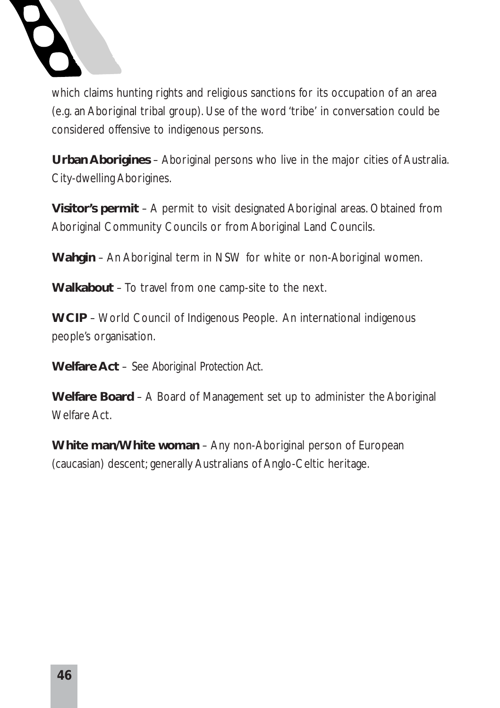

which claims hunting rights and religious sanctions for its occupation of an area (e.g. an Aboriginal tribal group). Use of the word 'tribe' in conversation could be considered offensive to indigenous persons.

**Urban Aborigines** – Aboriginal persons who live in the major cities of Australia. City-dwelling Aborigines.

**Visitor's permit** – A permit to visit designated Aboriginal areas. Obtained from Aboriginal Community Councils or from Aboriginal Land Councils.

**Wahgin** – An Aboriginal term in NSW for white or non-Aboriginal women.

**Walkabout** – To travel from one camp-site to the next.

**WCIP** – World Council of Indigenous People. An international indigenous people's organisation.

**Welfare Act** – See *Aboriginal Protection Act*.

**Welfare Board** – A Board of Management set up to administer the Aboriginal Welfare Act.

**White man/White woman** – Any non-Aboriginal person of European (caucasian) descent; generally Australians of Anglo-Celtic heritage.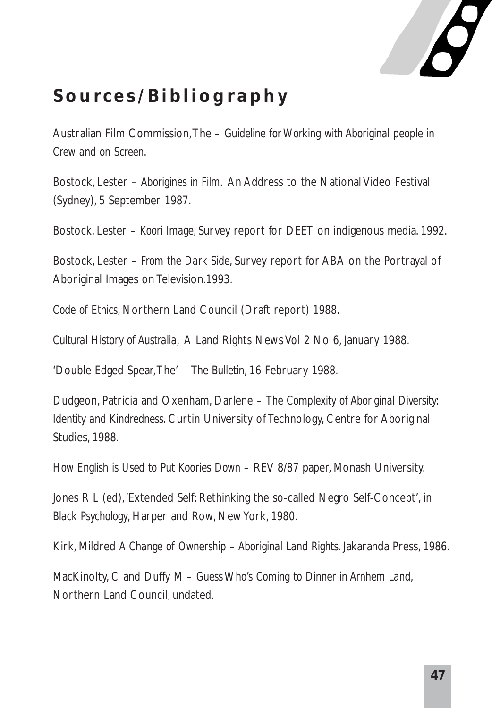

### **Sources/Bibliography**

Australian Film Commission,The – *Guideline for Working with Aboriginal people in Crew and on Screen*.

Bostock, Lester – *Aborigines in Film*. An Address to the National Video Festival (Sydney), 5 September 1987.

Bostock, Lester – *Koori Image*, Survey report for DEET on indigenous media. 1992.

Bostock, Lester – *From the Dark Side*, Survey report for ABA on the Portrayal of Aboriginal Images on Television.1993.

*Code of Ethics*, Northern Land Council (Draft report) 1988.

*Cultural History of Australia*, A Land Rights News Vol 2 No 6, January 1988.

'Double Edged Spear,The' – *The Bulletin*, 16 February 1988.

Dudgeon, Patricia and Oxenham, Darlene – *The Complexity of Aboriginal Diversity: Identity and Kindredness*. Curtin University of Technology, Centre for Aboriginal Studies, 1988.

*How English is Used to Put Koories Down* – REV 8/87 paper, Monash University.

Jones R L (ed),'Extended Self: Rethinking the so-called Negro Self-Concept', in *Black Psychology*, Harper and Row, New York, 1980.

Kirk, Mildred *A Change of Ownership – Aboriginal Land Rights*. Jakaranda Press, 1986.

MacKinolty, C and Duffy M – *Guess Who's Coming to Dinner in Arnhem Land*, Northern Land Council, undated.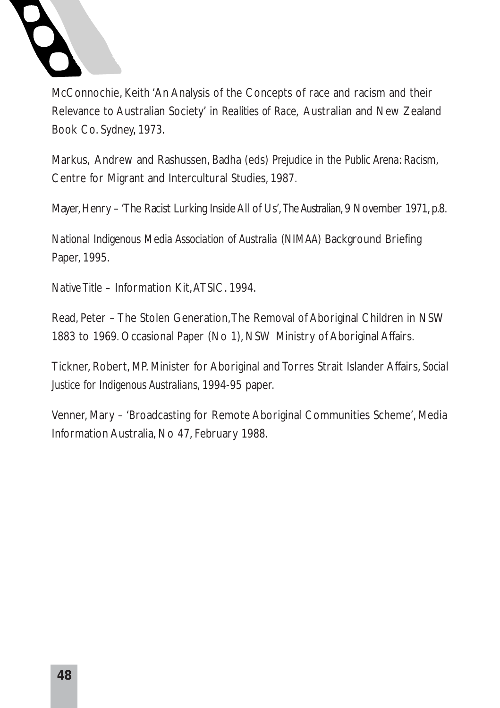

McConnochie, Keith 'An Analysis of the Concepts of race and racism and their Relevance to Australian Society' in *Realities of Race*, Australian and New Zealand Book Co. Sydney, 1973.

Markus, Andrew and Rashussen, Badha (eds) *Prejudice in the Public Arena: Racism*, Centre for Migrant and Intercultural Studies, 1987.

Mayer, Henry – 'The Racist Lurking Inside All of Us', *The Australian*, 9 November 1971, p.8.

*National Indigenous Media Association of Australia (NIMAA)* Background Briefing Paper, 1995.

*Native Title* – Information Kit,ATSIC. 1994.

Read, Peter – The Stolen Generation,The Removal of Aboriginal Children in NSW 1883 to 1969. Occasional Paper (No 1), NSW Ministry of Aboriginal Affairs.

Tickner, Robert, MP. Minister for Aboriginal and Torres Strait Islander Affairs, *Social Justice for Indigenous Australians*, 1994-95 paper.

Venner, Mary – 'Broadcasting for Remote Aboriginal Communities Scheme', Media Information Australia, No 47, February 1988.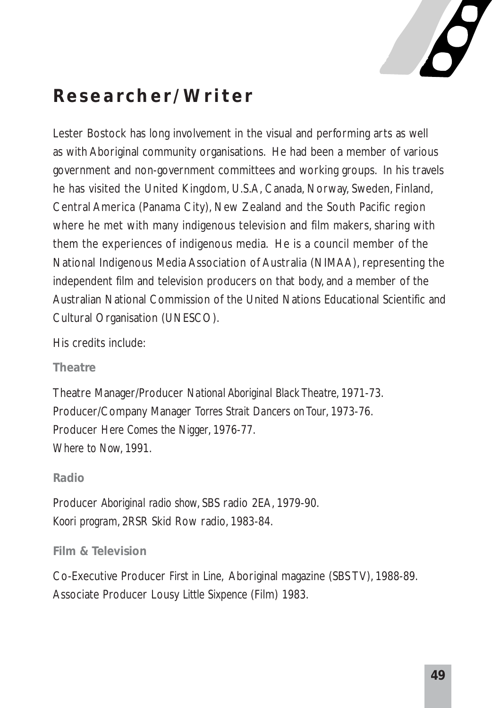

### **Researcher/Writer**

Lester Bostock has long involvement in the visual and performing arts as well as with Aboriginal community organisations. He had been a member of various government and non-government committees and working groups. In his travels he has visited the United Kingdom, U.S.A, Canada, Norway, Sweden, Finland, Central America (Panama City), New Zealand and the South Pacific region where he met with many indigenous television and film makers, sharing with them the experiences of indigenous media. He is a council member of the National Indigenous Media Association of Australia (NIMAA), representing the independent film and television producers on that body, and a member of the Australian National Commission of the United Nations Educational Scientific and Cultural Organisation (UNESCO).

His credits include:

#### **Theatre**

Theatre Manager/Producer *National Aboriginal Black Theatre*, 1971-73. Producer/Company Manager *Torres Strait Dancers on Tour*, 1973-76. Producer *Here Comes the Nigger*, 1976-77. *Where to Now*, 1991.

#### **Radio**

Producer *Aboriginal radio show*, SBS radio 2EA, 1979-90. *Koori program*, 2RSR Skid Row radio, 1983-84.

#### **Film & Television**

Co-Executive Producer *First in Line*, Aboriginal magazine (SBS TV), 1988-89. Associate Producer Lousy *Little Sixpence* (Film) 1983.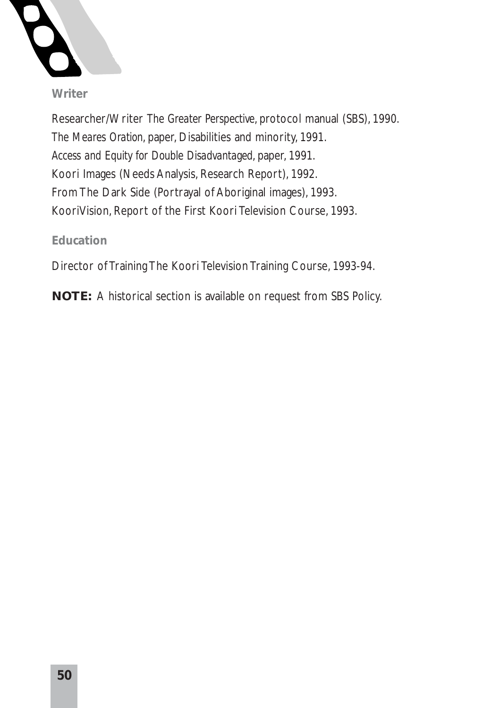

#### **Writer**

Researcher/Writer *The Greater Perspective*, protocol manual (SBS), 1990. *The Meares Oration*, paper, Disabilities and minority, 1991. *Access and Equity for Double Disadvantaged*, paper, 1991. Koori Images (Needs Analysis, Research Report), 1992. From The Dark Side (Portrayal of Aboriginal images), 1993. KooriVision, Report of the First Koori Television Course, 1993.

#### **Education**

Director of Training The Koori Television Training Course, 1993-94.

**NOTE:** A historical section is available on request from SBS Policy.